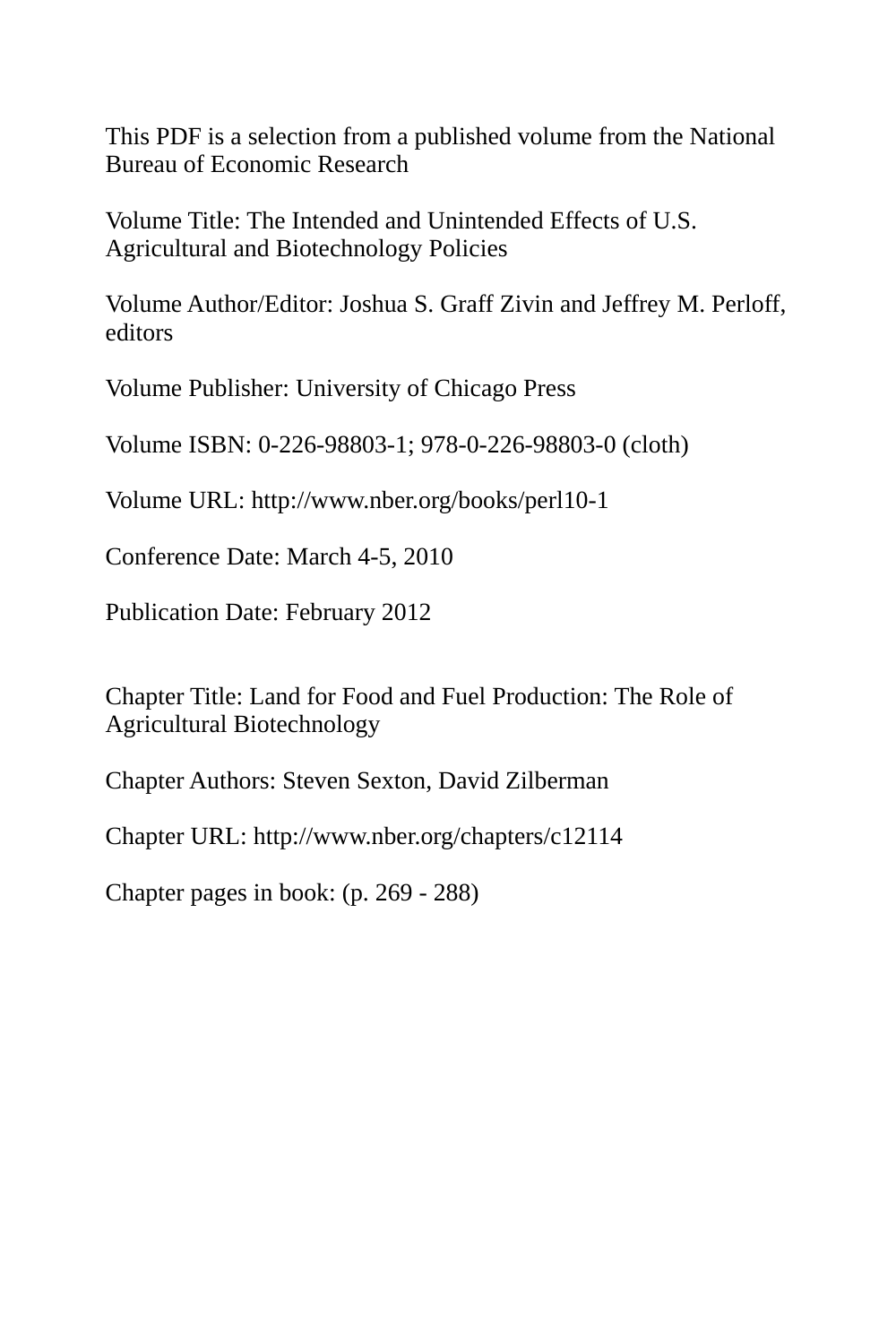This PDF is a selection from a published volume from the National Bureau of Economic Research

Volume Title: The Intended and Unintended Effects of U.S. Agricultural and Biotechnology Policies

Volume Author/Editor: Joshua S. Graff Zivin and Jeffrey M. Perloff, editors

Volume Publisher: University of Chicago Press

Volume ISBN: 0-226-98803-1; 978-0-226-98803-0 (cloth)

Volume URL: http://www.nber.org/books/perl10-1

Conference Date: March 4-5, 2010

Publication Date: February 2012

Chapter Title: Land for Food and Fuel Production: The Role of Agricultural Biotechnology

Chapter Authors: Steven Sexton, David Zilberman

Chapter URL: http://www.nber.org/chapters/c12114

Chapter pages in book: (p. 269 - 288)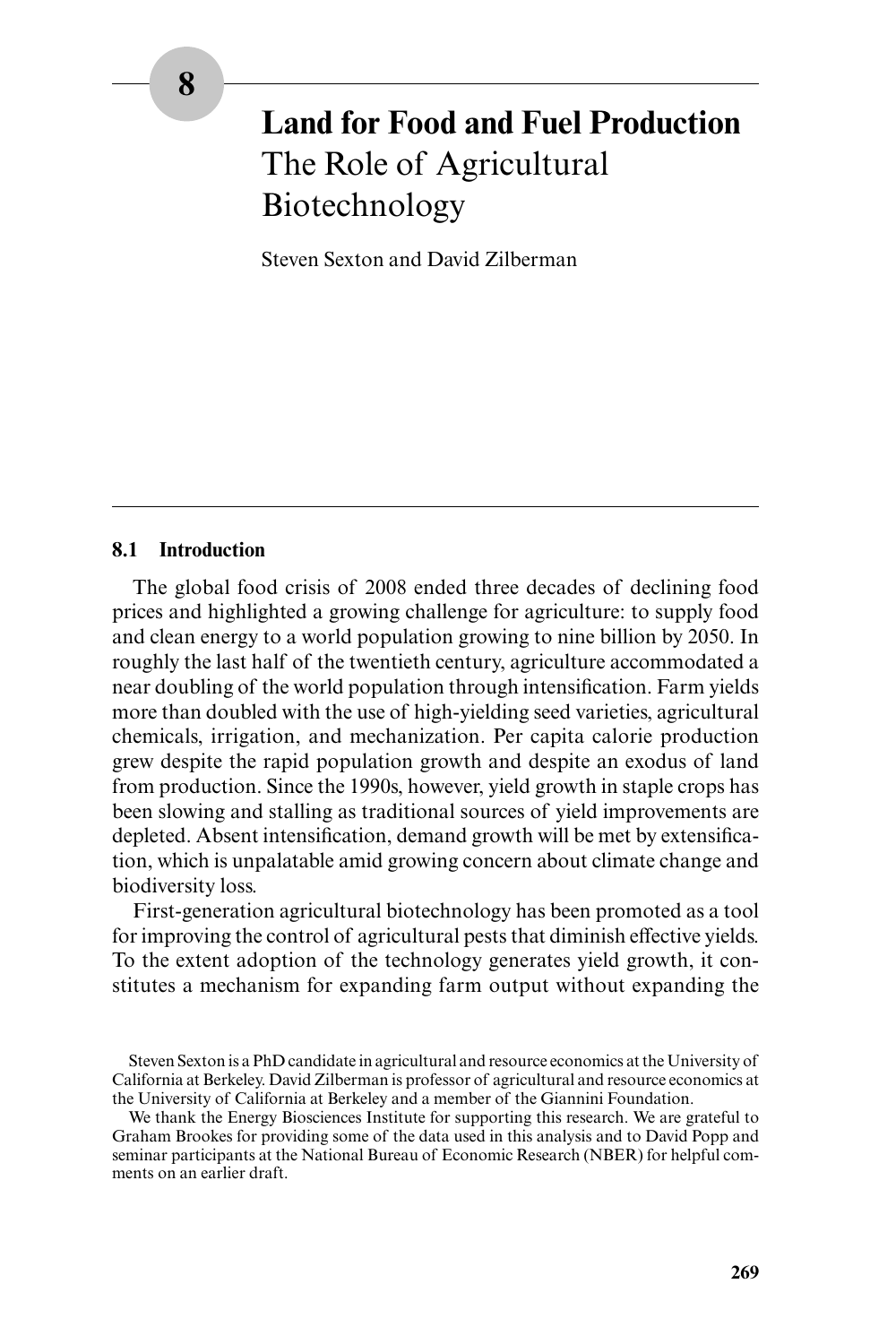# **Land for Food and Fuel Production** The Role of Agricultural Biotechnology

Steven Sexton and David Zilberman

## **8.1 Introduction**

The global food crisis of 2008 ended three decades of declining food prices and highlighted a growing challenge for agriculture: to supply food and clean energy to a world population growing to nine billion by 2050. In roughly the last half of the twentieth century, agriculture accommodated a near doubling of the world population through intensification. Farm yields more than doubled with the use of high- yielding seed varieties, agricultural chemicals, irrigation, and mechanization. Per capita calorie production grew despite the rapid population growth and despite an exodus of land from production. Since the 1990s, however, yield growth in staple crops has been slowing and stalling as traditional sources of yield improvements are depleted. Absent intensification, demand growth will be met by extensification, which is unpalatable amid growing concern about climate change and biodiversity loss.

First- generation agricultural biotechnology has been promoted as a tool for improving the control of agricultural pests that diminish effective yields. To the extent adoption of the technology generates yield growth, it constitutes a mechanism for expanding farm output without expanding the

Steven Sexton is a PhD candidate in agricultural and resource economics at the University of California at Berkeley. David Zilberman is professor of agricultural and resource economics at the University of California at Berkeley and a member of the Giannini Foundation.

We thank the Energy Biosciences Institute for supporting this research. We are grateful to Graham Brookes for providing some of the data used in this analysis and to David Popp and seminar participants at the National Bureau of Economic Research (NBER) for helpful comments on an earlier draft.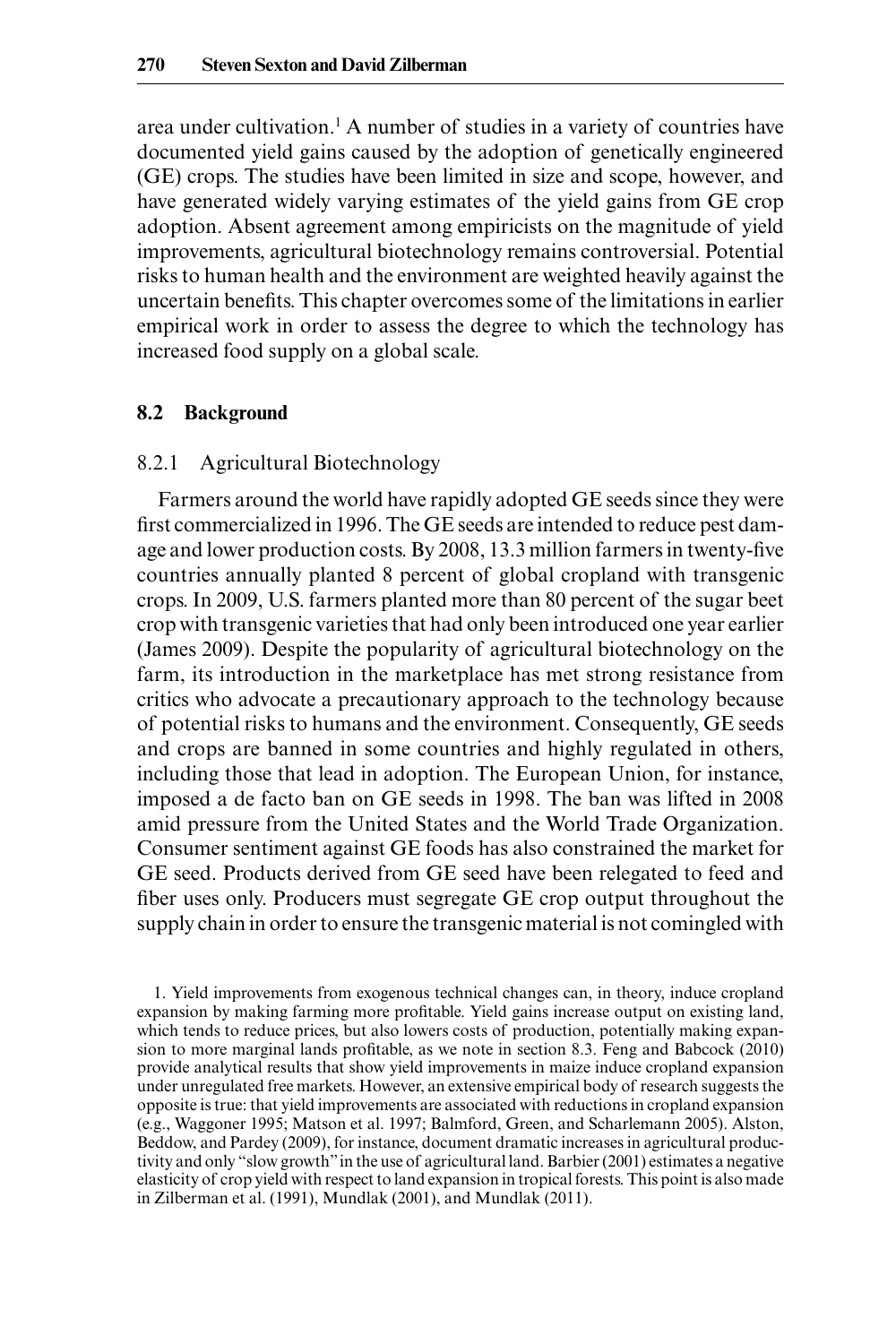area under cultivation.<sup>1</sup> A number of studies in a variety of countries have documented yield gains caused by the adoption of genetically engineered (GE) crops. The studies have been limited in size and scope, however, and have generated widely varying estimates of the yield gains from GE crop adoption. Absent agreement among empiricists on the magnitude of yield improvements, agricultural biotechnology remains controversial. Potential risks to human health and the environment are weighted heavily against the uncertain benefits. This chapter overcomes some of the limitations in earlier empirical work in order to assess the degree to which the technology has increased food supply on a global scale.

## **8.2 Background**

## 8.2.1 Agricultural Biotechnology

Farmers around the world have rapidly adopted GE seeds since they were first commercialized in 1996. The GE seeds are intended to reduce pest damage and lower production costs. By 2008, 13.3 million farmers in twenty-five countries annually planted 8 percent of global cropland with transgenic crops. In 2009, U.S. farmers planted more than 80 percent of the sugar beet crop with transgenic varieties that had only been introduced one year earlier (James 2009). Despite the popularity of agricultural biotechnology on the farm, its introduction in the marketplace has met strong resistance from critics who advocate a precautionary approach to the technology because of potential risks to humans and the environment. Consequently, GE seeds and crops are banned in some countries and highly regulated in others, including those that lead in adoption. The European Union, for instance, imposed a de facto ban on GE seeds in 1998. The ban was lifted in 2008 amid pressure from the United States and the World Trade Organization. Consumer sentiment against GE foods has also constrained the market for GE seed. Products derived from GE seed have been relegated to feed and fiber uses only. Producers must segregate GE crop output throughout the supply chain in order to ensure the transgenic material is not comingled with

1. Yield improvements from exogenous technical changes can, in theory, induce cropland expansion by making farming more profitable. Yield gains increase output on existing land, which tends to reduce prices, but also lowers costs of production, potentially making expansion to more marginal lands profitable, as we note in section 8.3. Feng and Babcock (2010) provide analytical results that show yield improvements in maize induce cropland expansion under unregulated free markets. However, an extensive empirical body of research suggests the opposite is true: that yield improvements are associated with reductions in cropland expansion (e.g., Waggoner 1995; Matson et al. 1997; Balmford, Green, and Scharlemann 2005). Alston, Beddow, and Pardey (2009), for instance, document dramatic increases in agricultural productivity and only "slow growth" in the use of agricultural land. Barbier (2001) estimates a negative elasticity of crop yield with respect to land expansion in tropical forests. This point is also made in Zilberman et al. (1991), Mundlak (2001), and Mundlak (2011).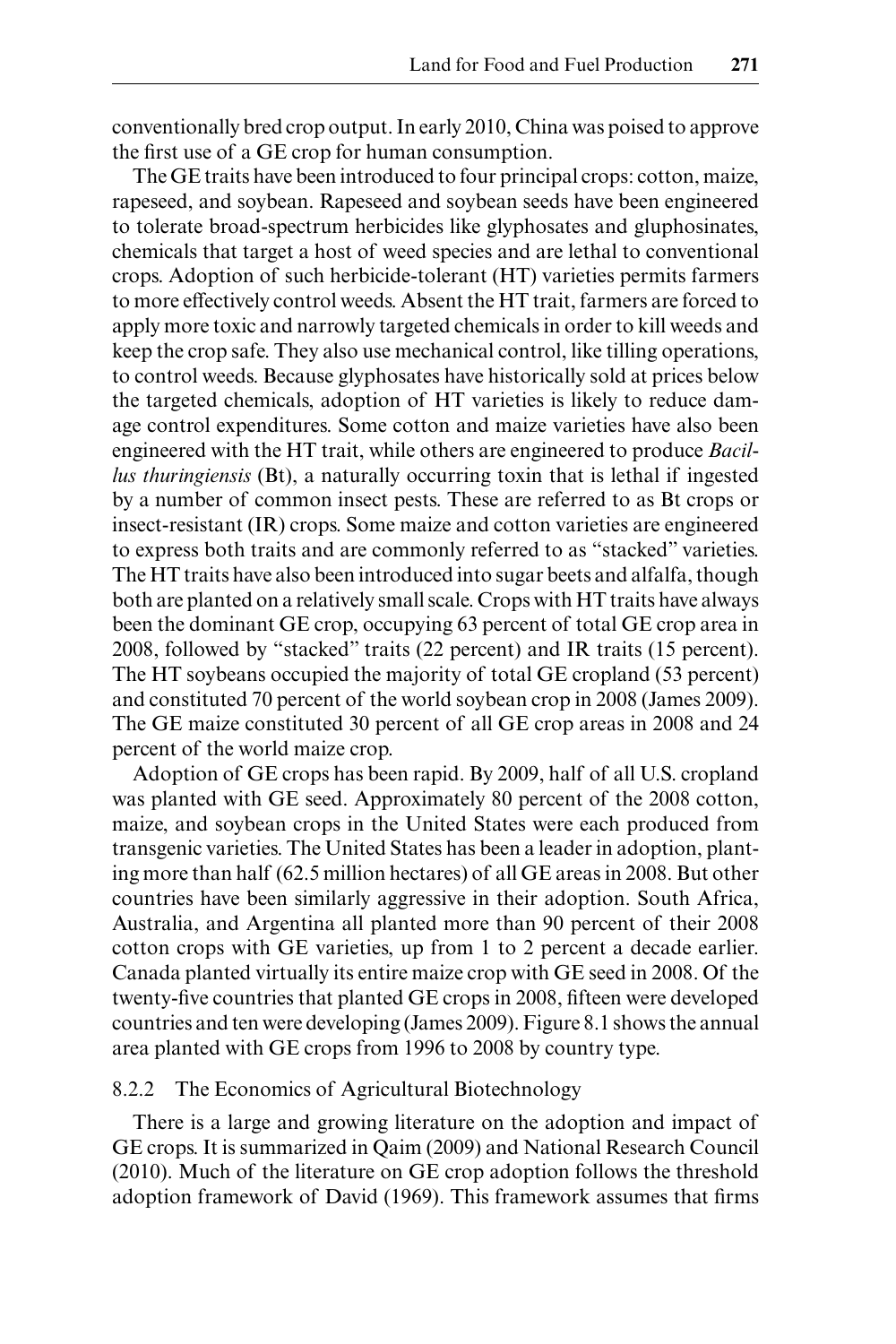conventionally bred crop output. In early 2010, China was poised to approve the first use of a GE crop for human consumption.

The GE traits have been introduced to four principal crops: cotton, maize, rapeseed, and soybean. Rapeseed and soybean seeds have been engineered to tolerate broad- spectrum herbicides like glyphosates and gluphosinates, chemicals that target a host of weed species and are lethal to conventional crops. Adoption of such herbicide- tolerant (HT) varieties permits farmers to more effectively control weeds. Absent the HT trait, farmers are forced to apply more toxic and narrowly targeted chemicals in order to kill weeds and keep the crop safe. They also use mechanical control, like tilling operations, to control weeds. Because glyphosates have historically sold at prices below the targeted chemicals, adoption of HT varieties is likely to reduce damage control expenditures. Some cotton and maize varieties have also been engineered with the HT trait, while others are engineered to produce *Bacillus thuringiensis* (Bt), a naturally occurring toxin that is lethal if ingested by a number of common insect pests. These are referred to as Bt crops or insect-resistant (IR) crops. Some maize and cotton varieties are engineered to express both traits and are commonly referred to as "stacked" varieties. The HT traits have also been introduced into sugar beets and alfalfa, though both are planted on a relatively small scale. Crops with HT traits have always been the dominant GE crop, occupying 63 percent of total GE crop area in 2008, followed by "stacked" traits (22 percent) and IR traits (15 percent). The HT soybeans occupied the majority of total GE cropland (53 percent) and constituted 70 percent of the world soybean crop in 2008 (James 2009). The GE maize constituted 30 percent of all GE crop areas in 2008 and 24 percent of the world maize crop.

Adoption of GE crops has been rapid. By 2009, half of all U.S. cropland was planted with GE seed. Approximately 80 percent of the 2008 cotton, maize, and soybean crops in the United States were each produced from transgenic varieties. The United States has been a leader in adoption, planting more than half (62.5 million hectares) of all GE areas in 2008. But other countries have been similarly aggressive in their adoption. South Africa, Australia, and Argentina all planted more than 90 percent of their 2008 cotton crops with GE varieties, up from 1 to 2 percent a decade earlier. Canada planted virtually its entire maize crop with GE seed in 2008. Of the twenty-five countries that planted GE crops in 2008, fifteen were developed countries and ten were developing (James 2009). Figure 8.1 shows the annual area planted with GE crops from 1996 to 2008 by country type.

## 8.2.2 The Economics of Agricultural Biotechnology

There is a large and growing literature on the adoption and impact of GE crops. It is summarized in Qaim (2009) and National Research Council (2010). Much of the literature on GE crop adoption follows the threshold adoption framework of David (1969). This framework assumes that firms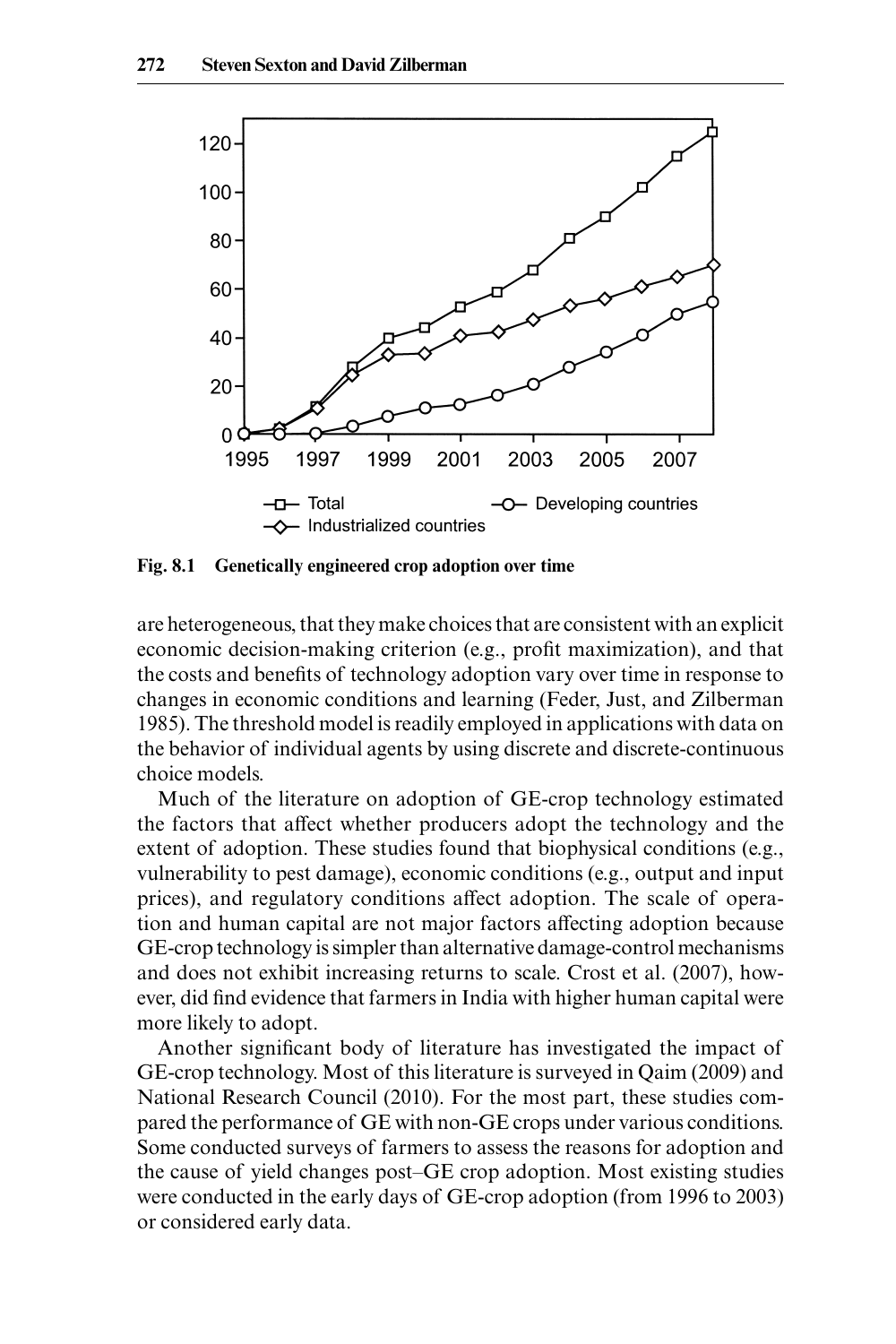

**Fig. 8.1 Genetically engineered crop adoption over time**

are heterogeneous, that they make choices that are consistent with an explicit economic decision-making criterion (e.g., profit maximization), and that the costs and benefits of technology adoption vary over time in response to changes in economic conditions and learning (Feder, Just, and Zilberman 1985). The threshold model is readily employed in applications with data on the behavior of individual agents by using discrete and discrete- continuous choice models.

Much of the literature on adoption of GE-crop technology estimated the factors that affect whether producers adopt the technology and the extent of adoption. These studies found that biophysical conditions (e.g., vulnerability to pest damage), economic conditions (e.g., output and input prices), and regulatory conditions affect adoption. The scale of operation and human capital are not major factors affecting adoption because GE- crop technology is simpler than alternative damage- control mechanisms and does not exhibit increasing returns to scale. Crost et al. (2007), however, did find evidence that farmers in India with higher human capital were more likely to adopt.

Another significant body of literature has investigated the impact of GE- crop technology. Most of this literature is surveyed in Qaim (2009) and National Research Council (2010). For the most part, these studies compared the performance of GE with non-GE crops under various conditions. Some conducted surveys of farmers to assess the reasons for adoption and the cause of yield changes post–GE crop adoption. Most existing studies were conducted in the early days of GE-crop adoption (from 1996 to 2003) or considered early data.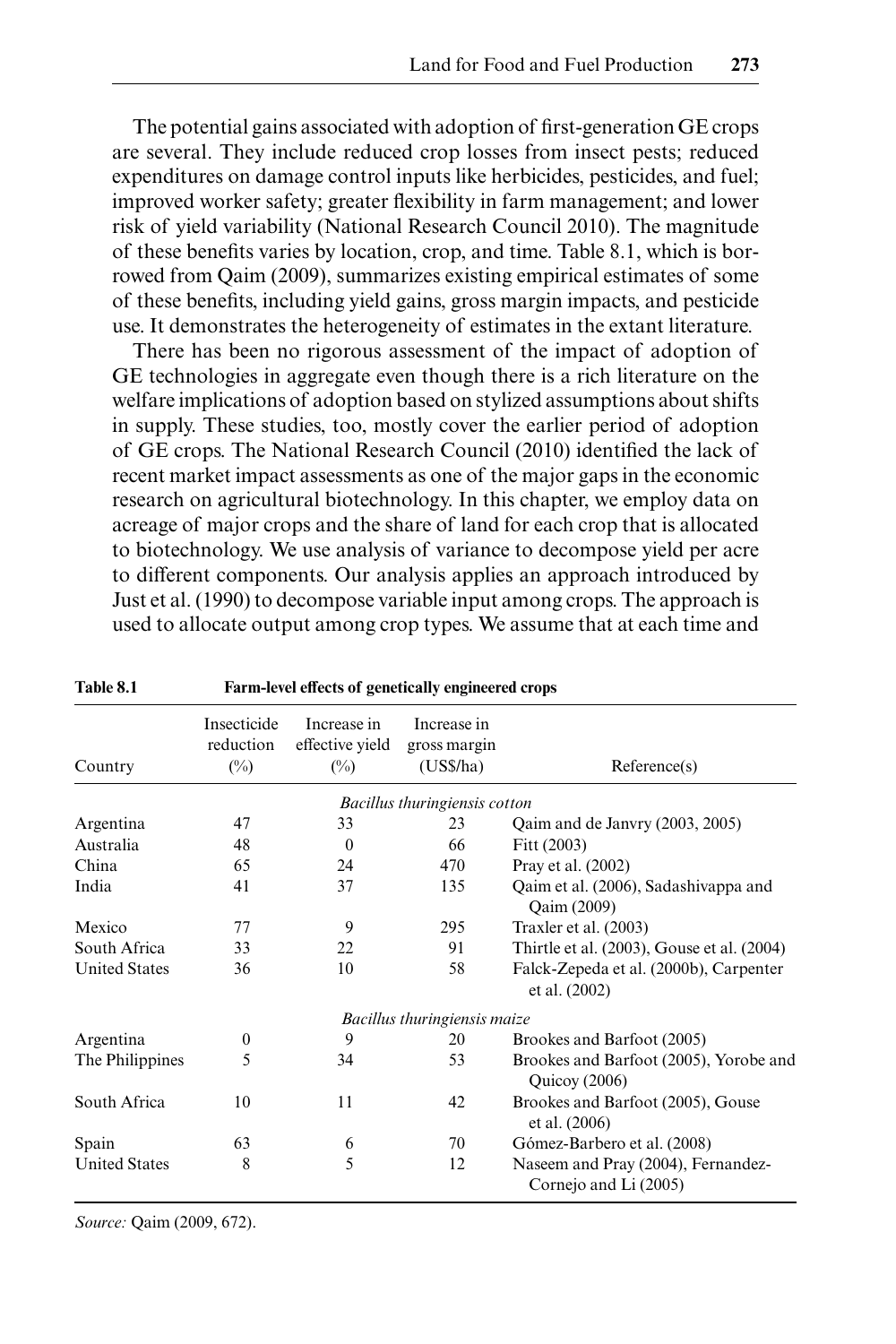The potential gains associated with adoption of first-generation GE crops are several. They include reduced crop losses from insect pests; reduced expenditures on damage control inputs like herbicides, pesticides, and fuel; improved worker safety; greater flexibility in farm management; and lower risk of yield variability (National Research Council 2010). The magnitude of these benefits varies by location, crop, and time. Table 8.1, which is borrowed from Qaim (2009), summarizes existing empirical estimates of some of these benefits, including yield gains, gross margin impacts, and pesticide use. It demonstrates the heterogeneity of estimates in the extant literature.

There has been no rigorous assessment of the impact of adoption of GE technologies in aggregate even though there is a rich literature on the welfare implications of adoption based on stylized assumptions about shifts in supply. These studies, too, mostly cover the earlier period of adoption of GE crops. The National Research Council (2010) identified the lack of recent market impact assessments as one of the major gaps in the economic research on agricultural biotechnology. In this chapter, we employ data on acreage of major crops and the share of land for each crop that is allocated to biotechnology. We use analysis of variance to decompose yield per acre to different components. Our analysis applies an approach introduced by Just et al. (1990) to decompose variable input among crops. The approach is used to allocate output among crop types. We assume that at each time and

| Table 8.1            | Farm-level effects of genetically engineered crops |                                                  |                                          |                                                             |  |  |
|----------------------|----------------------------------------------------|--------------------------------------------------|------------------------------------------|-------------------------------------------------------------|--|--|
| Country              | Insecticide<br>reduction<br>$(\%)$                 | Increase in<br>effective yield<br>$\binom{0}{0}$ | Increase in<br>gross margin<br>(US\$/ha) | Reference(s)                                                |  |  |
|                      |                                                    |                                                  | Bacillus thuringiensis cotton            |                                                             |  |  |
| Argentina            | 47                                                 | 33                                               | 23                                       | Qaim and de Janvry (2003, 2005)                             |  |  |
| Australia            | 48                                                 | $\theta$                                         | 66                                       | Fitt (2003)                                                 |  |  |
| China                | 65                                                 | 24                                               | 470                                      | Pray et al. (2002)                                          |  |  |
| India                | 41                                                 | 37                                               | 135                                      | Qaim et al. (2006), Sadashivappa and<br>Qaim (2009)         |  |  |
| Mexico               | 77                                                 | 9                                                | 295                                      | Traxler et al. (2003)                                       |  |  |
| South Africa         | 33                                                 | 22                                               | 91                                       | Thirtle et al. (2003), Gouse et al. (2004)                  |  |  |
| <b>United States</b> | 36                                                 | 10                                               | 58                                       | Falck-Zepeda et al. (2000b), Carpenter<br>et al. (2002)     |  |  |
|                      |                                                    |                                                  | Bacillus thuringiensis maize             |                                                             |  |  |
| Argentina            | $\mathbf{0}$                                       | 9                                                | 20                                       | Brookes and Barfoot (2005)                                  |  |  |
| The Philippines      | 5                                                  | 34                                               | 53                                       | Brookes and Barfoot (2005), Yorobe and<br>Quicoy $(2006)$   |  |  |
| South Africa         | 10                                                 | 11                                               | 42                                       | Brookes and Barfoot (2005), Gouse<br>et al. (2006)          |  |  |
| Spain                | 63                                                 | 6                                                | 70                                       | Gómez-Barbero et al. (2008)                                 |  |  |
| <b>United States</b> | 8                                                  | 5                                                | 12                                       | Naseem and Pray (2004), Fernandez-<br>Cornejo and Li (2005) |  |  |

*Source:* Qaim (2009, 672).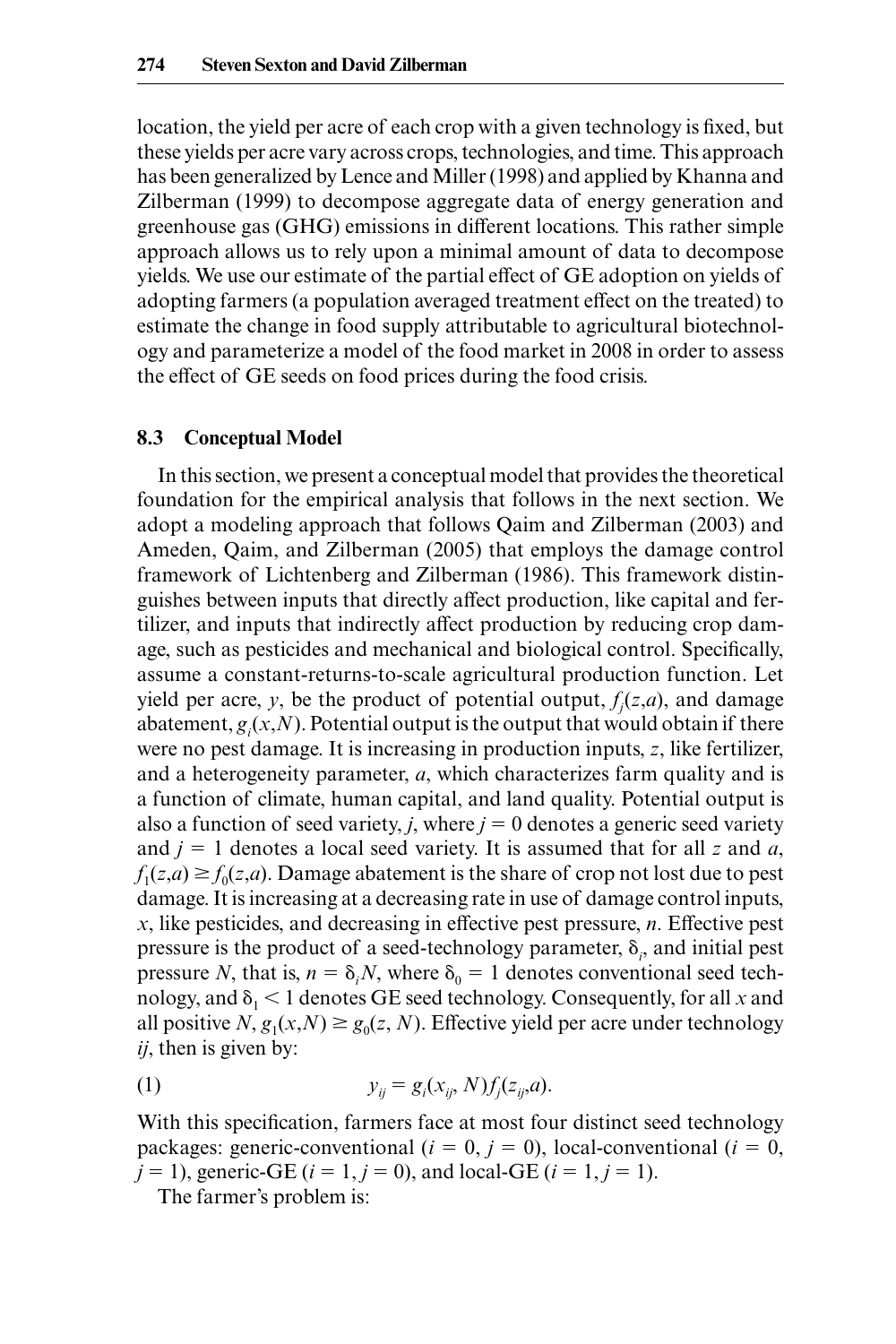location, the yield per acre of each crop with a given technology is fixed, but these yields per acre vary across crops, technologies, and time. This approach has been generalized by Lence and Miller (1998) and applied by Khanna and Zilberman (1999) to decompose aggregate data of energy generation and greenhouse gas (GHG) emissions in different locations. This rather simple approach allows us to rely upon a minimal amount of data to decompose yields. We use our estimate of the partial effect of GE adoption on yields of adopting farmers (a population averaged treatment effect on the treated) to estimate the change in food supply attributable to agricultural biotechnology and parameterize a model of the food market in 2008 in order to assess the effect of GE seeds on food prices during the food crisis.

#### **8.3 Conceptual Model**

In this section, we present a conceptual model that provides the theoretical foundation for the empirical analysis that follows in the next section. We adopt a modeling approach that follows Qaim and Zilberman (2003) and Ameden, Qaim, and Zilberman (2005) that employs the damage control framework of Lichtenberg and Zilberman (1986). This framework distinguishes between inputs that directly affect production, like capital and fertilizer, and inputs that indirectly affect production by reducing crop damage, such as pesticides and mechanical and biological control. Specifically, assume a constant-returns-to-scale agricultural production function. Let yield per acre, *y*, be the product of potential output,  $f_j(z,a)$ , and damage abatement,  $g_i(x, N)$ . Potential output is the output that would obtain if there were no pest damage. It is increasing in production inputs, *z*, like fertilizer, and a heterogeneity parameter, *a*, which characterizes farm quality and is a function of climate, human capital, and land quality. Potential output is also a function of seed variety, *j*, where  $j = 0$  denotes a generic seed variety and  $j = 1$  denotes a local seed variety. It is assumed that for all  $z$  and  $a$ ,  $f_1(z,a) \ge f_0(z,a)$ . Damage abatement is the share of crop not lost due to pest damage. It is increasing at a decreasing rate in use of damage control inputs, *x*, like pesticides, and decreasing in effective pest pressure, *n*. Effective pest pressure is the product of a seed-technology parameter,  $\delta_i$ , and initial pest pressure *N*, that is,  $n = \delta_i N$ , where  $\delta_0 = 1$  denotes conventional seed technology, and  $\delta_1$  < 1 denotes GE seed technology. Consequently, for all *x* and all positive *N*,  $g_1(x,N) \geq g_0(z,N)$ . Effective yield per acre under technology *ij*, then is given by:

(1) 
$$
y_{ij} = g_i(x_{ij}, N) f_j(z_{ij}, a).
$$

With this specification, farmers face at most four distinct seed technology packages: generic-conventional ( $i = 0, j = 0$ ), local-conventional ( $i = 0$ ,  $j = 1$ , generic-GE ( $i = 1, j = 0$ ), and local-GE ( $i = 1, j = 1$ ).

The farmer's problem is: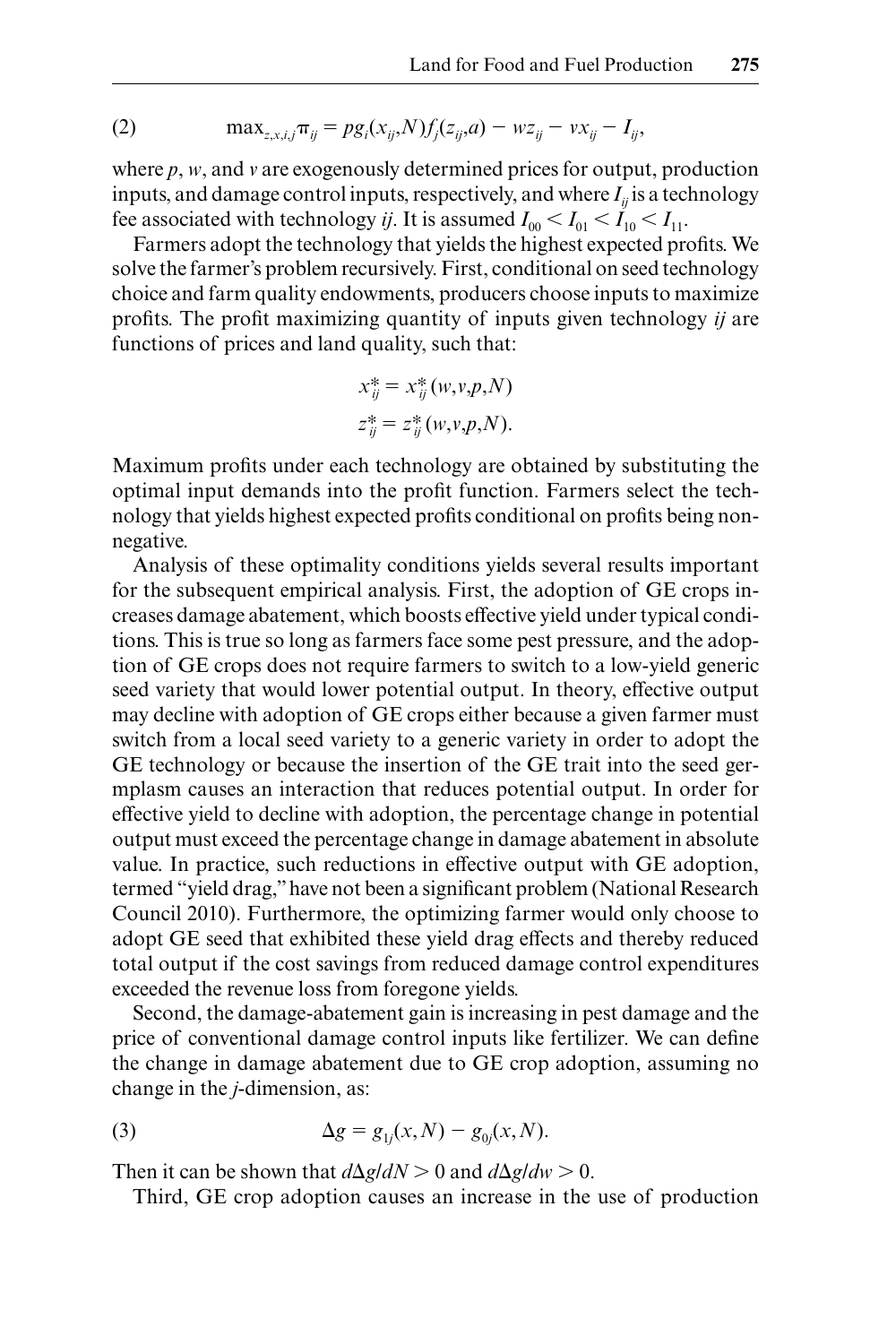(2) 
$$
\max_{z,x,i,j} \pi_{ij} = pg_i(x_{ij}, N) f_j(z_{ij}, a) - wz_{ij} - vx_{ij} - I_{ij},
$$

where *p*, *w*, and *v* are exogenously determined prices for output, production inputs, and damage control inputs, respectively, and where  $I_{ii}$  is a technology fee associated with technology *ij*. It is assumed  $I_{00} < I_{01} < I_{10} < I_{11}$ .

Farmers adopt the technology that yields the highest expected profits. We solve the farmer's problem recursively. First, conditional on seed technology choice and farm quality endowments, producers choose inputs to maximize profits. The profit maximizing quantity of inputs given technology *ij* are functions of prices and land quality, such that:

$$
x_{ij}^* = x_{ij}^*(w, v, p, N)
$$
  

$$
z_{ij}^* = z_{ij}^*(w, v, p, N).
$$

Maximum profits under each technology are obtained by substituting the optimal input demands into the profit function. Farmers select the technology that yields highest expected profits conditional on profits being nonnegative.

Analysis of these optimality conditions yields several results important for the subsequent empirical analysis. First, the adoption of GE crops increases damage abatement, which boosts effective yield under typical conditions. This is true so long as farmers face some pest pressure, and the adoption of GE crops does not require farmers to switch to a low- yield generic seed variety that would lower potential output. In theory, effective output may decline with adoption of GE crops either because a given farmer must switch from a local seed variety to a generic variety in order to adopt the GE technology or because the insertion of the GE trait into the seed germplasm causes an interaction that reduces potential output. In order for effective yield to decline with adoption, the percentage change in potential output must exceed the percentage change in damage abatement in absolute value. In practice, such reductions in effective output with GE adoption, termed "yield drag," have not been a significant problem (National Research Council 2010). Furthermore, the optimizing farmer would only choose to adopt GE seed that exhibited these yield drag effects and thereby reduced total output if the cost savings from reduced damage control expenditures exceeded the revenue loss from foregone yields.

Second, the damage- abatement gain is increasing in pest damage and the price of conventional damage control inputs like fertilizer. We can define the change in damage abatement due to GE crop adoption, assuming no change in the *j*- dimension, as:

(3) 
$$
\Delta g = g_{1j}(x, N) - g_{0j}(x, N).
$$

Then it can be shown that  $d\Delta g/dN > 0$  and  $d\Delta g/dw > 0$ .

Third, GE crop adoption causes an increase in the use of production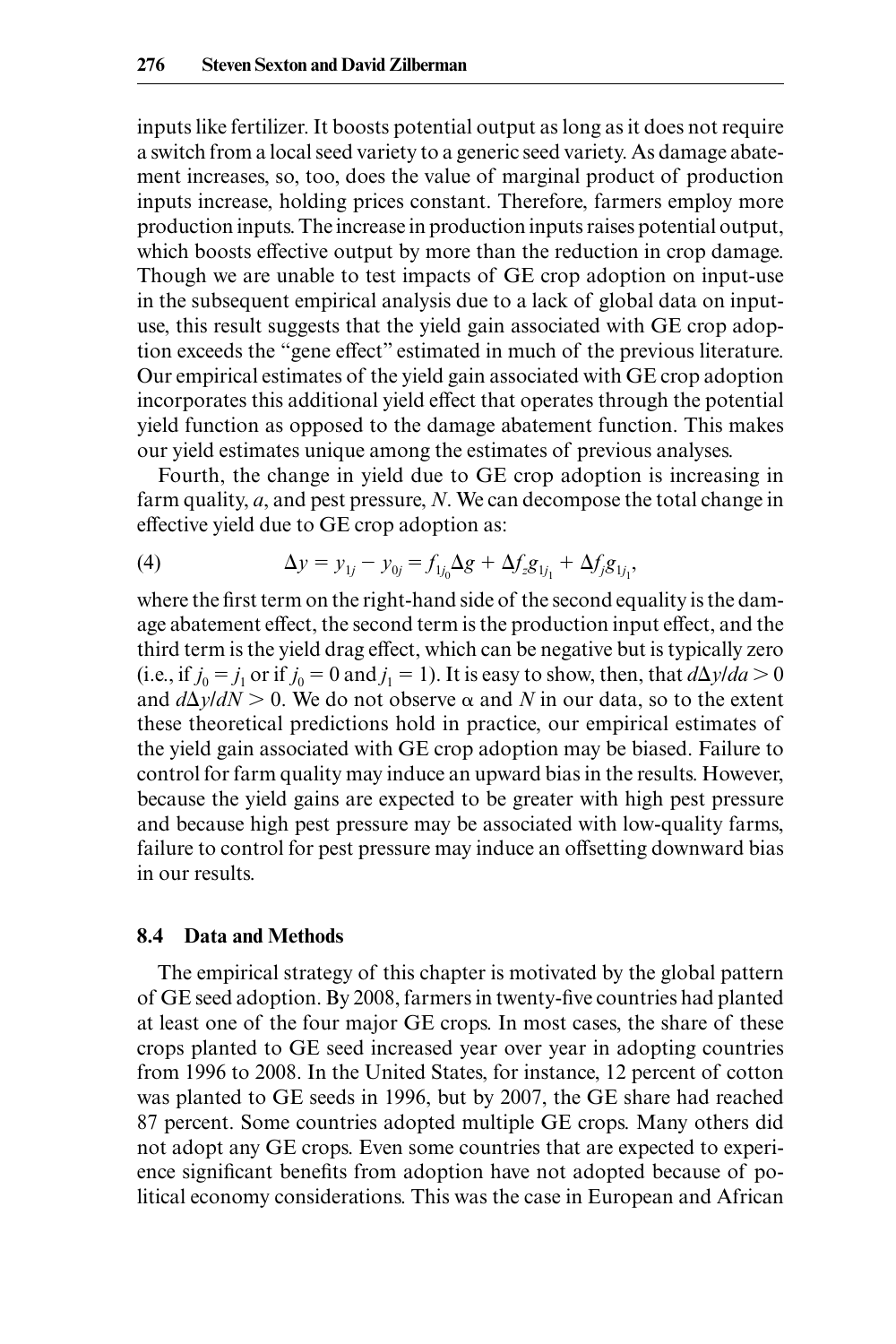inputs like fertilizer. It boosts potential output as long as it does not require a switch from a local seed variety to a generic seed variety. As damage abatement increases, so, too, does the value of marginal product of production inputs increase, holding prices constant. Therefore, farmers employ more production inputs. The increase in production inputs raises potential output, which boosts effective output by more than the reduction in crop damage. Though we are unable to test impacts of GE crop adoption on input-use in the subsequent empirical analysis due to a lack of global data on input use, this result suggests that the yield gain associated with GE crop adoption exceeds the "gene effect" estimated in much of the previous literature. Our empirical estimates of the yield gain associated with GE crop adoption incorporates this additional yield effect that operates through the potential yield function as opposed to the damage abatement function. This makes our yield estimates unique among the estimates of previous analyses.

Fourth, the change in yield due to GE crop adoption is increasing in farm quality, *a*, and pest pressure, *N*. We can decompose the total change in effective yield due to GE crop adoption as:

(4) 
$$
\Delta y = y_{1j} - y_{0j} = f_{1j_0} \Delta g + \Delta f_z g_{1j_1} + \Delta f_j g_{1j_1},
$$

where the first term on the right-hand side of the second equality is the damage abatement effect, the second term is the production input effect, and the third term is the yield drag effect, which can be negative but is typically zero (i.e., if  $j_0 = j_1$  or if  $j_0 = 0$  and  $j_1 = 1$ ). It is easy to show, then, that  $d\Delta y/da > 0$ and  $d\Delta y/dN > 0$ . We do not observe  $\alpha$  and N in our data, so to the extent these theoretical predictions hold in practice, our empirical estimates of the yield gain associated with GE crop adoption may be biased. Failure to control for farm quality may induce an upward bias in the results. However, because the yield gains are expected to be greater with high pest pressure and because high pest pressure may be associated with low-quality farms, failure to control for pest pressure may induce an offsetting downward bias in our results.

#### **8.4 Data and Methods**

The empirical strategy of this chapter is motivated by the global pattern of GE seed adoption. By 2008, farmers in twenty-five countries had planted at least one of the four major GE crops. In most cases, the share of these crops planted to GE seed increased year over year in adopting countries from 1996 to 2008. In the United States, for instance, 12 percent of cotton was planted to GE seeds in 1996, but by 2007, the GE share had reached 87 percent. Some countries adopted multiple GE crops. Many others did not adopt any GE crops. Even some countries that are expected to experience significant benefits from adoption have not adopted because of political economy considerations. This was the case in European and African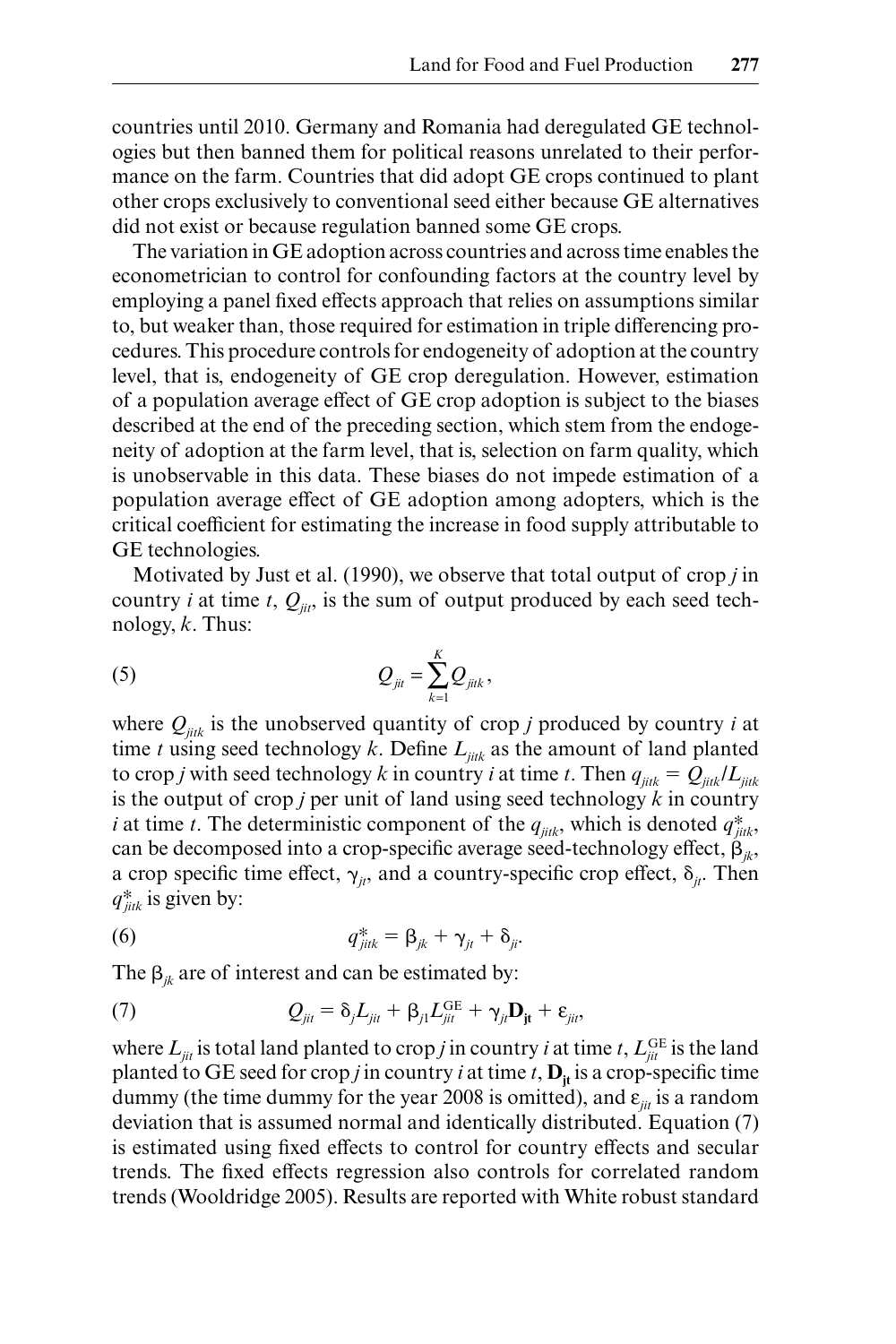countries until 2010. Germany and Romania had deregulated GE technologies but then banned them for political reasons unrelated to their performance on the farm. Countries that did adopt GE crops continued to plant other crops exclusively to conventional seed either because GE alternatives did not exist or because regulation banned some GE crops.

The variation in GE adoption across countries and across time enables the econometrician to control for confounding factors at the country level by employing a panel fixed effects approach that relies on assumptions similar to, but weaker than, those required for estimation in triple differencing procedures. This procedure controls for endogeneity of adoption at the country level, that is, endogeneity of GE crop deregulation. However, estimation of a population average effect of GE crop adoption is subject to the biases described at the end of the preceding section, which stem from the endogeneity of adoption at the farm level, that is, selection on farm quality, which is unobservable in this data. These biases do not impede estimation of a population average effect of GE adoption among adopters, which is the critical coefficient for estimating the increase in food supply attributable to GE technologies.

Motivated by Just et al. (1990), we observe that total output of crop *j* in country *i* at time *t*,  $Q_{ii}$ , is the sum of output produced by each seed technology, *k*. Thus:

(5) 
$$
Q_{jit} = \sum_{k=1}^{K} Q_{jitk},
$$

where  $Q_{iik}$  is the unobserved quantity of crop *j* produced by country *i* at time *t* using seed technology *k*. Define  $L_{iik}$  as the amount of land planted to crop *j* with seed technology *k* in country *i* at time *t*. Then  $q_{jik} = Q_{jik}/L_{jik}$ is the output of crop *j* per unit of land using seed technology  $k$  in country *i* at time *t*. The deterministic component of the  $q_{jik}$ , which is denoted  $q_{jik}^*$ , can be decomposed into a crop-specific average seed-technology effect,  $\beta_{ik}$ , a crop specific time effect,  $\gamma_{i}$ , and a country-specific crop effect,  $\delta_{i}$ . Then *q*∗ *jitk* is given by:

(6) 
$$
q_{jik}^* = \beta_{jk} + \gamma_{jt} + \delta_{ji}.
$$

The  $\beta_{ik}$  are of interest and can be estimated by:

(7) 
$$
Q_{jit} = \delta_j L_{jit} + \beta_{j1} L_{jit}^{GE} + \gamma_{jt} \mathbf{D}_{jt} + \varepsilon_{ji},
$$

where  $L_{jit}$  is total land planted to crop *j* in country *i* at time *t*,  $L_{jit}^{\text{GE}}$  is the land planted to GE seed for crop *j* in country *i* at time *t*,  $D_{it}$  is a crop-specific time dummy (the time dummy for the year 2008 is omitted), and  $\varepsilon_{ii}$  is a random deviation that is assumed normal and identically distributed. Equation (7) is estimated using fixed effects to control for country effects and secular trends. The fixed effects regression also controls for correlated random trends (Wooldridge 2005). Results are reported with White robust standard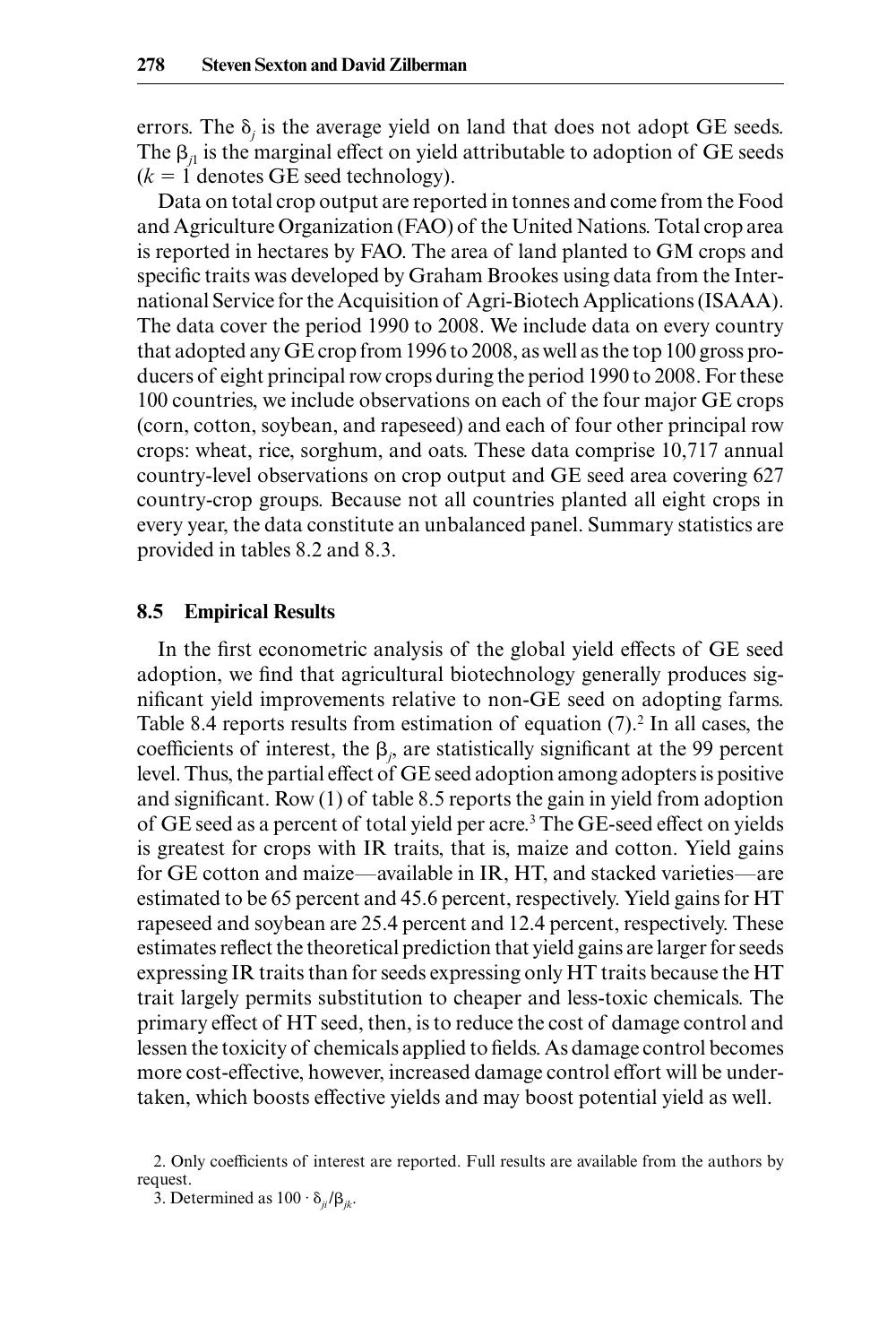errors. The  $\delta_j$  is the average yield on land that does not adopt GE seeds. The  $\beta_{11}$  is the marginal effect on yield attributable to adoption of GE seeds  $(k = 1$  denotes GE seed technology).

Data on total crop output are reported in tonnes and come from the Food and Agriculture Organization (FAO) of the United Nations. Total crop area is reported in hectares by FAO. The area of land planted to GM crops and specific traits was developed by Graham Brookes using data from the International Service for the Acquisition of Agri- Biotech Applications (ISAAA). The data cover the period 1990 to 2008. We include data on every country that adopted any GE crop from 1996 to 2008, as well as the top 100 gross producers of eight principal row crops during the period 1990 to 2008. For these 100 countries, we include observations on each of the four major GE crops (corn, cotton, soybean, and rapeseed) and each of four other principal row crops: wheat, rice, sorghum, and oats. These data comprise 10,717 annual country- level observations on crop output and GE seed area covering 627 country- crop groups. Because not all countries planted all eight crops in every year, the data constitute an unbalanced panel. Summary statistics are provided in tables 8.2 and 8.3.

#### **8.5 Empirical Results**

In the first econometric analysis of the global yield effects of GE seed adoption, we find that agricultural biotechnology generally produces significant yield improvements relative to non-GE seed on adopting farms. Table 8.4 reports results from estimation of equation  $(7)$ .<sup>2</sup> In all cases, the coefficients of interest, the  $\beta$ , are statistically significant at the 99 percent level. Thus, the partial effect of GE seed adoption among adopters is positive and significant. Row  $(1)$  of table 8.5 reports the gain in yield from adoption of GE seed as a percent of total yield per acre.<sup>3</sup> The GE-seed effect on yields is greatest for crops with IR traits, that is, maize and cotton. Yield gains for GE cotton and maize—available in IR, HT, and stacked varieties—are estimated to be 65 percent and 45.6 percent, respectively. Yield gains for HT rapeseed and soybean are 25.4 percent and 12.4 percent, respectively. These estimates reflect the theoretical prediction that yield gains are larger for seeds expressing IR traits than for seeds expressing only HT traits because the HT trait largely permits substitution to cheaper and less- toxic chemicals. The primary effect of HT seed, then, is to reduce the cost of damage control and lessen the toxicity of chemicals applied to fields. As damage control becomes more cost-effective, however, increased damage control effort will be undertaken, which boosts effective yields and may boost potential yield as well.

<sup>2.</sup> Only coefficients of interest are reported. Full results are available from the authors by request.

<sup>3.</sup> Determined as  $100 \cdot \delta_{ii}/\beta_{ik}$ .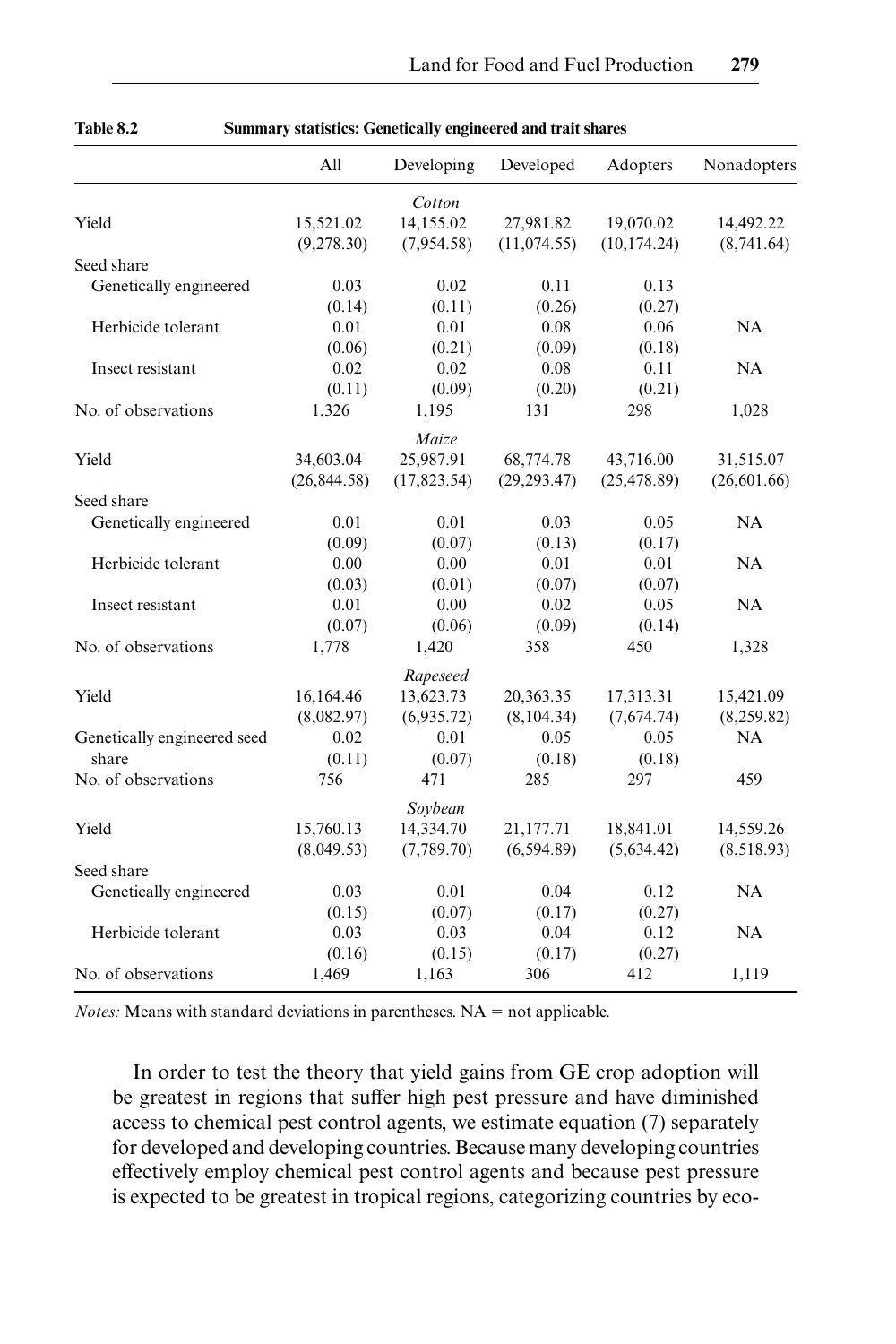|                             | All           | Developing   | Developed    | Adopters     | Nonadopters  |
|-----------------------------|---------------|--------------|--------------|--------------|--------------|
|                             |               | Cotton       |              |              |              |
| Yield                       | 15,521.02     | 14.155.02    | 27,981.82    | 19,070.02    | 14,492.22    |
|                             | (9,278.30)    | (7,954.58)   | (11, 074.55) | (10, 174.24) | (8,741.64)   |
| Seed share                  |               |              |              |              |              |
| Genetically engineered      | 0.03          | 0.02         | 0.11         | 0.13         |              |
|                             | (0.14)        | (0.11)       | (0.26)       | (0.27)       |              |
| Herbicide tolerant          | 0.01          | 0.01         | 0.08         | 0.06         | NA           |
|                             | (0.06)        | (0.21)       | (0.09)       | (0.18)       |              |
| Insect resistant            | 0.02          | 0.02         | 0.08         | 0.11         | NA           |
|                             | (0.11)        | (0.09)       | (0.20)       | (0.21)       |              |
| No. of observations         | 1,326         | 1,195        | 131          | 298          | 1,028        |
|                             |               | Maize        |              |              |              |
| Yield                       | 34,603.04     | 25,987.91    | 68,774.78    | 43,716.00    | 31,515.07    |
|                             | (26, 844, 58) | (17, 823.54) | (29, 293.47) | (25, 478.89) | (26, 601.66) |
| Seed share                  |               |              |              |              |              |
| Genetically engineered      | 0.01          | 0.01         | 0.03         | 0.05         | NA           |
|                             | (0.09)        | (0.07)       | (0.13)       | (0.17)       |              |
| Herbicide tolerant          | 0.00          | 0.00         | 0.01         | 0.01         | NA           |
|                             | (0.03)        | (0.01)       | (0.07)       | (0.07)       |              |
| Insect resistant            | 0.01          | 0.00         | 0.02         | 0.05         | NA           |
|                             | (0.07)        | (0.06)       | (0.09)       | (0.14)       |              |
| No. of observations         | 1,778         | 1,420        | 358          | 450          | 1,328        |
|                             |               | Rapeseed     |              |              |              |
| Yield                       | 16,164.46     | 13,623.73    | 20,363.35    | 17,313.31    | 15,421.09    |
|                             | (8,082.97)    | (6,935.72)   | (8,104.34)   | (7,674.74)   | (8,259.82)   |
| Genetically engineered seed | 0.02          | 0.01         | 0.05         | 0.05         | <b>NA</b>    |
| share                       | (0.11)        | (0.07)       | (0.18)       | (0.18)       |              |
| No. of observations         | 756           | 471          | 285          | 297          | 459          |
|                             |               | Soybean      |              |              |              |
| Yield                       | 15,760.13     | 14,334.70    | 21,177.71    | 18,841.01    | 14,559.26    |
|                             | (8,049.53)    | (7,789,70)   | (6,594.89)   | (5,634,42)   | (8,518.93)   |
| Seed share                  |               |              |              |              |              |
| Genetically engineered      | 0.03          | 0.01         | 0.04         | 0.12         | <b>NA</b>    |
|                             | (0.15)        | (0.07)       | (0.17)       | (0.27)       |              |
| Herbicide tolerant          | 0.03          | 0.03         | 0.04         | 0.12         | NA           |
|                             | (0.16)        | (0.15)       | (0.17)       | (0.27)       |              |
| No. of observations         | 1,469         | 1,163        | 306          | 412          | 1,119        |

**Table 8.2 Summary statistics: Genetically engineered and trait shares**

*Notes:* Means with standard deviations in parentheses.  $NA = not$  applicable.

In order to test the theory that yield gains from GE crop adoption will be greatest in regions that suffer high pest pressure and have diminished access to chemical pest control agents, we estimate equation (7) separately for developed and developing countries. Because many developing countries effectively employ chemical pest control agents and because pest pressure is expected to be greatest in tropical regions, categorizing countries by eco-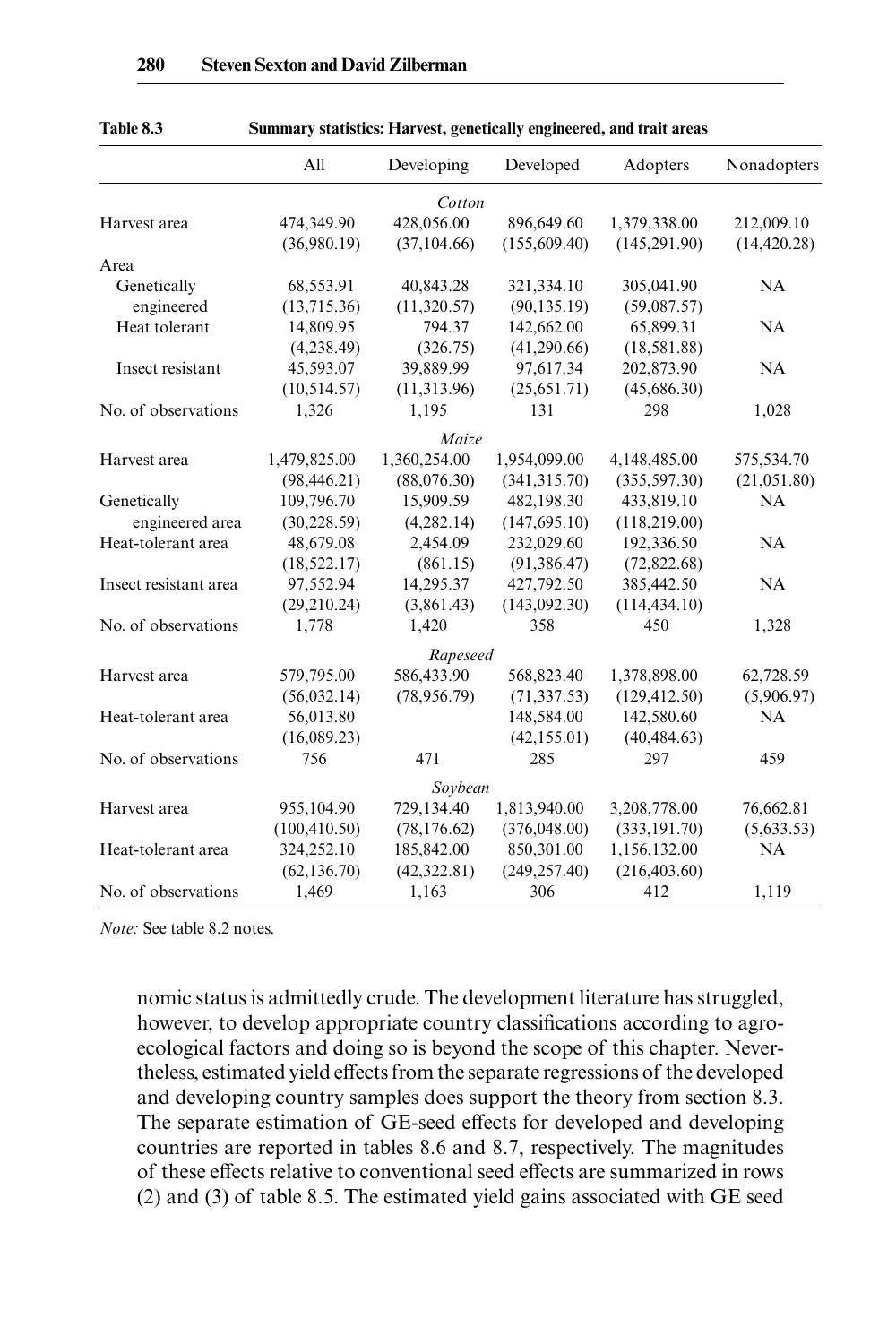| 1 apie 8.5            | Summary statistics: Harvest, genetically engineered, and trait areas |               |                |                |              |  |
|-----------------------|----------------------------------------------------------------------|---------------|----------------|----------------|--------------|--|
|                       | All                                                                  | Developing    | Developed      | Adopters       | Nonadopters  |  |
|                       |                                                                      | Cotton        |                |                |              |  |
| Harvest area          | 474,349.90                                                           | 428,056.00    | 896,649.60     | 1,379,338.00   | 212,009.10   |  |
|                       | (36,980.19)                                                          | (37, 104.66)  | (155, 609.40)  | (145, 291.90)  | (14, 420.28) |  |
| Area                  |                                                                      |               |                |                |              |  |
| Genetically           | 68,553.91                                                            | 40,843.28     | 321,334.10     | 305,041.90     | NA           |  |
| engineered            | (13,715.36)                                                          | (11, 320.57)  | (90, 135, 19)  | (59,087.57)    |              |  |
| Heat tolerant         | 14,809.95                                                            | 794.37        | 142,662.00     | 65,899.31      | NA           |  |
|                       | (4, 238.49)                                                          | (326.75)      | (41, 290.66)   | (18, 581.88)   |              |  |
| Insect resistant      | 45,593.07                                                            | 39,889.99     | 97,617.34      | 202,873.90     | NA           |  |
|                       | (10, 514, 57)                                                        | (11, 313.96)  | (25, 651, 71)  | (45,686.30)    |              |  |
| No. of observations   | 1,326                                                                | 1,195         | 131            | 298            | 1,028        |  |
|                       |                                                                      | Maize         |                |                |              |  |
| Harvest area          | 1,479,825.00                                                         | 1,360,254.00  | 1,954,099.00   | 4,148,485.00   | 575,534.70   |  |
|                       | (98, 446.21)                                                         | (88,076,30)   | (341, 315, 70) | (355, 597.30)  | (21, 051.80) |  |
| Genetically           | 109,796.70                                                           | 15,909.59     | 482,198.30     | 433,819.10     | <b>NA</b>    |  |
| engineered area       | (30, 228.59)                                                         | (4, 282, 14)  | (147, 695, 10) | (118, 219.00)  |              |  |
| Heat-tolerant area    | 48,679.08                                                            | 2,454.09      | 232,029.60     | 192,336.50     | NA           |  |
|                       | (18, 522.17)                                                         | (861.15)      | (91, 386, 47)  | (72,822.68)    |              |  |
| Insect resistant area | 97,552.94                                                            | 14,295.37     | 427,792.50     | 385,442.50     | <b>NA</b>    |  |
|                       | (29, 210.24)                                                         | (3,861.43)    | (143,092,30)   | (114, 434, 10) |              |  |
| No. of observations   | 1,778                                                                | 1,420         | 358            | 450            | 1,328        |  |
|                       |                                                                      | Rapeseed      |                |                |              |  |
| Harvest area          | 579,795.00                                                           | 586,433.90    | 568,823.40     | 1,378,898.00   | 62,728.59    |  |
|                       | (56, 032, 14)                                                        | (78, 956, 79) | (71, 337, 53)  | (129, 412, 50) | (5,906.97)   |  |
| Heat-tolerant area    | 56,013.80                                                            |               | 148,584.00     | 142,580.60     | NA           |  |
|                       | (16,089,23)                                                          |               | (42, 155.01)   | (40, 484, 63)  |              |  |
| No. of observations   | 756                                                                  | 471           | 285            | 297            | 459          |  |
|                       |                                                                      | Soybean       |                |                |              |  |
| Harvest area          | 955,104.90                                                           | 729,134.40    | 1,813,940.00   | 3,208,778.00   | 76,662.81    |  |
|                       | (100, 410.50)                                                        | (78, 176.62)  | (376,048.00)   | (333, 191.70)  | (5,633.53)   |  |
| Heat-tolerant area    | 324,252.10                                                           | 185,842.00    | 850,301.00     | 1,156,132.00   | NA           |  |
|                       | (62, 136.70)                                                         | (42, 322.81)  | (249, 257, 40) | (216, 403.60)  |              |  |
| No. of observations   | 1.469                                                                | 1.163         | 306            | 412            | 1,119        |  |

**Table 8.3 Summary statistics: Harvest, genetically engineered, and trait areas**

*Note:* See table 8.2 notes.

nomic status is admittedly crude. The development literature has struggled, however, to develop appropriate country classifications according to agroecological factors and doing so is beyond the scope of this chapter. Nevertheless, estimated yield effects from the separate regressions of the developed and developing country samples does support the theory from section 8.3. The separate estimation of GE-seed effects for developed and developing countries are reported in tables 8.6 and 8.7, respectively. The magnitudes of these effects relative to conventional seed effects are summarized in rows (2) and (3) of table 8.5. The estimated yield gains associated with GE seed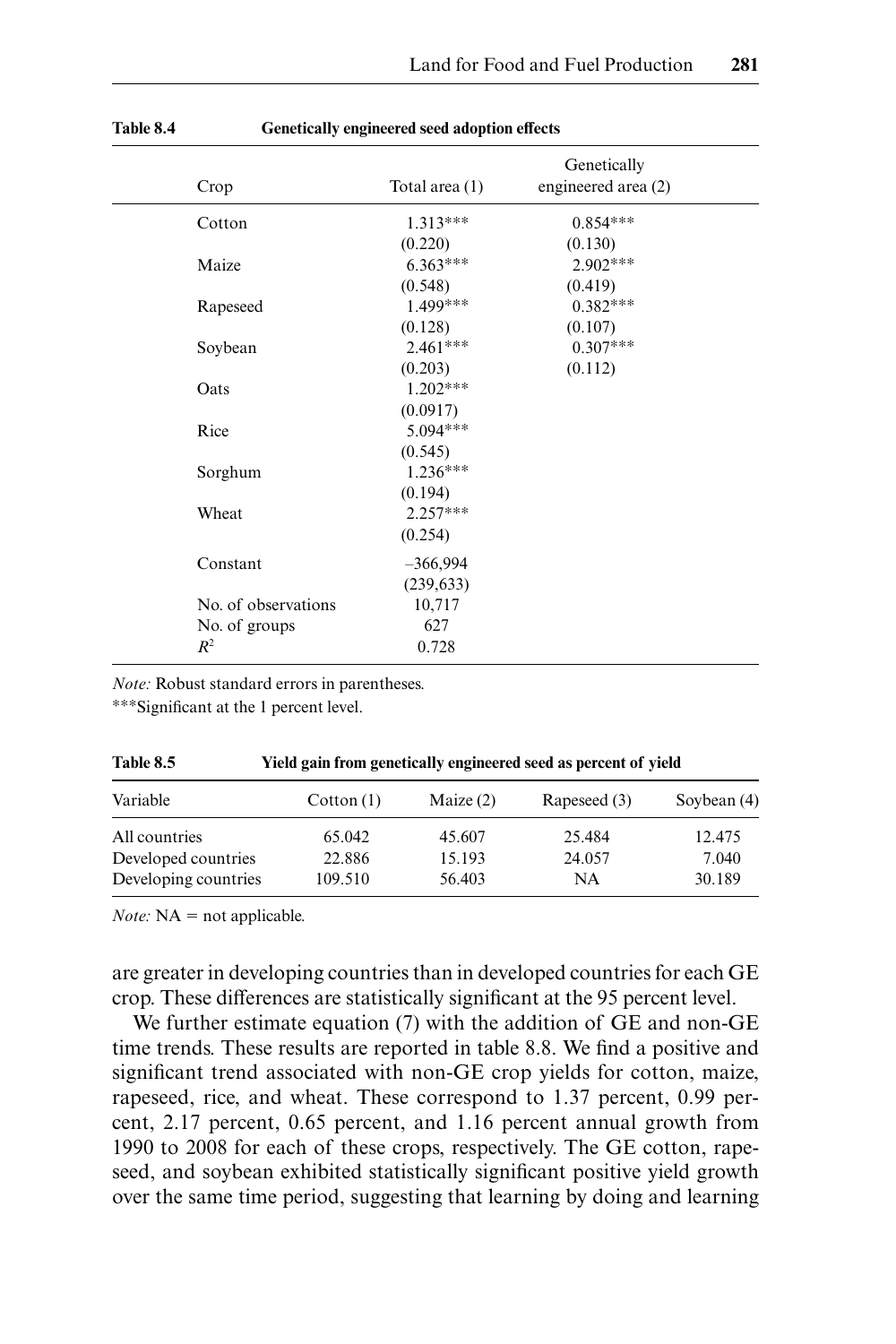| Crop                | Total area (1) | Genetically<br>engineered area (2) |
|---------------------|----------------|------------------------------------|
| Cotton              | $1.313***$     | $0.854***$                         |
|                     | (0.220)        | (0.130)                            |
| Maize               | $6.363***$     | $2.902***$                         |
|                     | (0.548)        | (0.419)                            |
| Rapeseed            | 1.499***       | $0.382***$                         |
|                     | (0.128)        | (0.107)                            |
| Soybean             | $2.461***$     | $0.307***$                         |
|                     | (0.203)        | (0.112)                            |
| Oats                | $1.202***$     |                                    |
|                     | (0.0917)       |                                    |
| Rice                | 5.094***       |                                    |
|                     | (0.545)        |                                    |
| Sorghum             | $1.236***$     |                                    |
|                     | (0.194)        |                                    |
| Wheat               | $2.257***$     |                                    |
|                     | (0.254)        |                                    |
| Constant            | $-366,994$     |                                    |
|                     | (239, 633)     |                                    |
| No. of observations | 10,717         |                                    |
| No. of groups       | 627            |                                    |
| $R^2$               | 0.728          |                                    |

| <b>Table 8.4</b> | Genetically engineered seed adoption effects |  |
|------------------|----------------------------------------------|--|
|------------------|----------------------------------------------|--|

*Note:* Robust standard errors in parentheses.

∗∗∗Signifi cant at the 1 percent level.

| Table 8.5            | Yield gain from genetically engineered seed as percent of yield |             |              |               |  |  |  |
|----------------------|-----------------------------------------------------------------|-------------|--------------|---------------|--|--|--|
| Variable             | $\text{Cottom}(\mathbf{1})$                                     | Maize $(2)$ | Rapeseed (3) | Soybean $(4)$ |  |  |  |
| All countries        | 65.042                                                          | 45.607      | 25.484       | 12.475        |  |  |  |
| Developed countries  | 22.886                                                          | 15.193      | 24.057       | 7.040         |  |  |  |
| Developing countries | 109.510                                                         | 56.403      | <b>NA</b>    | 30.189        |  |  |  |

*Note:*  $NA = not applicable.$ 

are greater in developing countries than in developed countries for each GE crop. These differences are statistically significant at the 95 percent level.

We further estimate equation (7) with the addition of GE and non-GE time trends. These results are reported in table 8.8. We find a positive and significant trend associated with non-GE crop yields for cotton, maize, rapeseed, rice, and wheat. These correspond to 1.37 percent, 0.99 percent, 2.17 percent, 0.65 percent, and 1.16 percent annual growth from 1990 to 2008 for each of these crops, respectively. The GE cotton, rapeseed, and soybean exhibited statistically significant positive yield growth over the same time period, suggesting that learning by doing and learning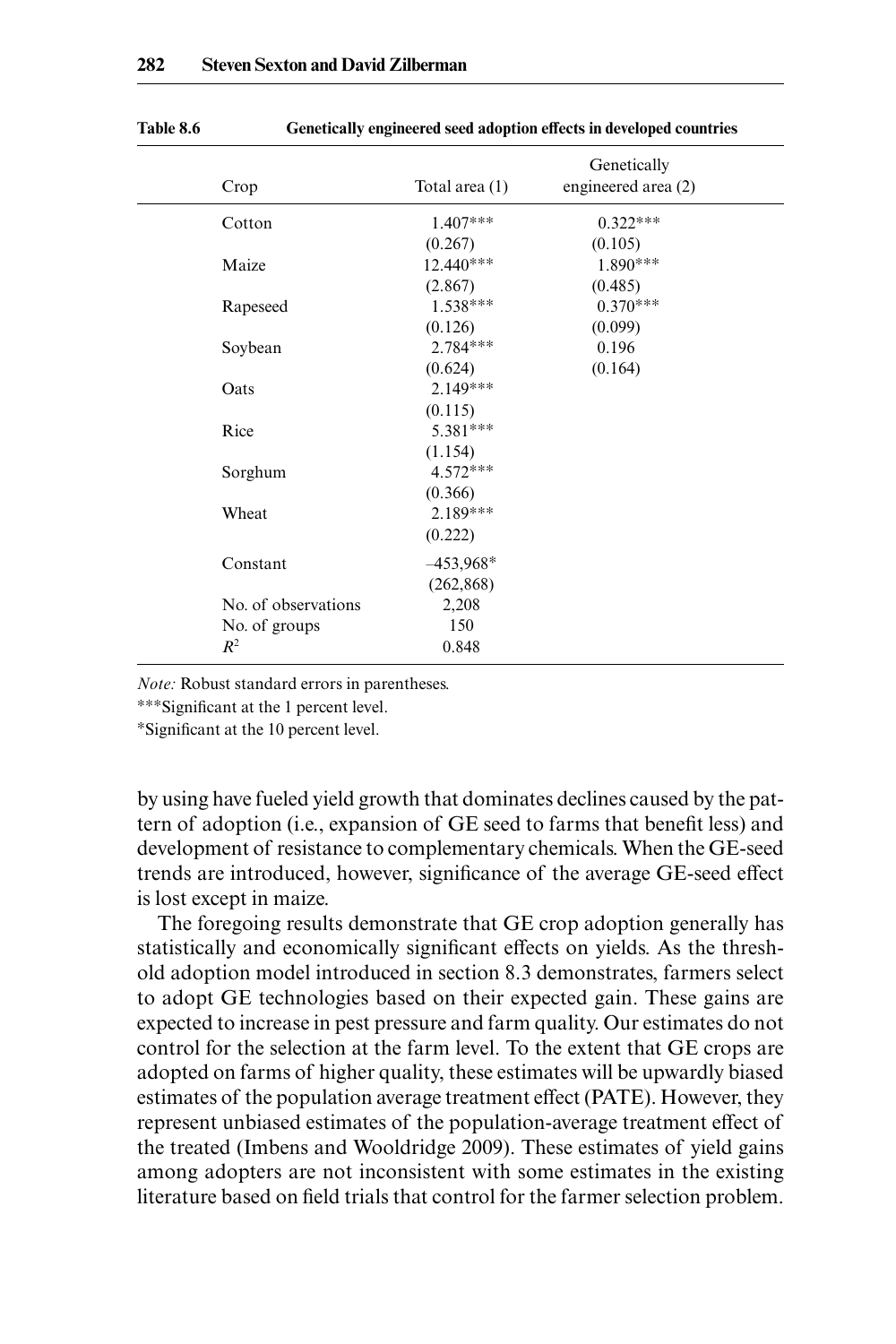| Crop                | Total area $(1)$ | Genetically<br>engineered area (2) |
|---------------------|------------------|------------------------------------|
| Cotton              | 1.407***         | $0.322***$                         |
|                     | (0.267)          | (0.105)                            |
| Maize               | 12.440***        | 1.890***                           |
|                     | (2.867)          | (0.485)                            |
| Rapeseed            | $1.538***$       | $0.370***$                         |
|                     | (0.126)          | (0.099)                            |
| Soybean             | $2.784***$       | 0.196                              |
|                     | (0.624)          | (0.164)                            |
| Oats                | $2.149***$       |                                    |
|                     | (0.115)          |                                    |
| Rice                | 5.381***         |                                    |
|                     | (1.154)          |                                    |
| Sorghum             | $4.572***$       |                                    |
|                     | (0.366)          |                                    |
| Wheat               | $2.189***$       |                                    |
|                     | (0.222)          |                                    |
| Constant            | $-453,968*$      |                                    |
|                     | (262, 868)       |                                    |
| No. of observations | 2,208            |                                    |
| No. of groups       | 150              |                                    |
| $R^2$               | 0.848            |                                    |

Table 8.6 **Genetically engineered seed adoption effects in developed countries** 

*Note:* Robust standard errors in parentheses.

∗∗∗Signifi cant at the 1 percent level.

∗Signifi cant at the 10 percent level.

by using have fueled yield growth that dominates declines caused by the pattern of adoption (i.e., expansion of GE seed to farms that benefit less) and development of resistance to complementary chemicals. When the GE-seed trends are introduced, however, significance of the average GE-seed effect is lost except in maize.

The foregoing results demonstrate that GE crop adoption generally has statistically and economically significant effects on yields. As the threshold adoption model introduced in section 8.3 demonstrates, farmers select to adopt GE technologies based on their expected gain. These gains are expected to increase in pest pressure and farm quality. Our estimates do not control for the selection at the farm level. To the extent that GE crops are adopted on farms of higher quality, these estimates will be upwardly biased estimates of the population average treatment effect (PATE). However, they represent unbiased estimates of the population- average treatment effect of the treated (Imbens and Wooldridge 2009). These estimates of yield gains among adopters are not inconsistent with some estimates in the existing literature based on field trials that control for the farmer selection problem.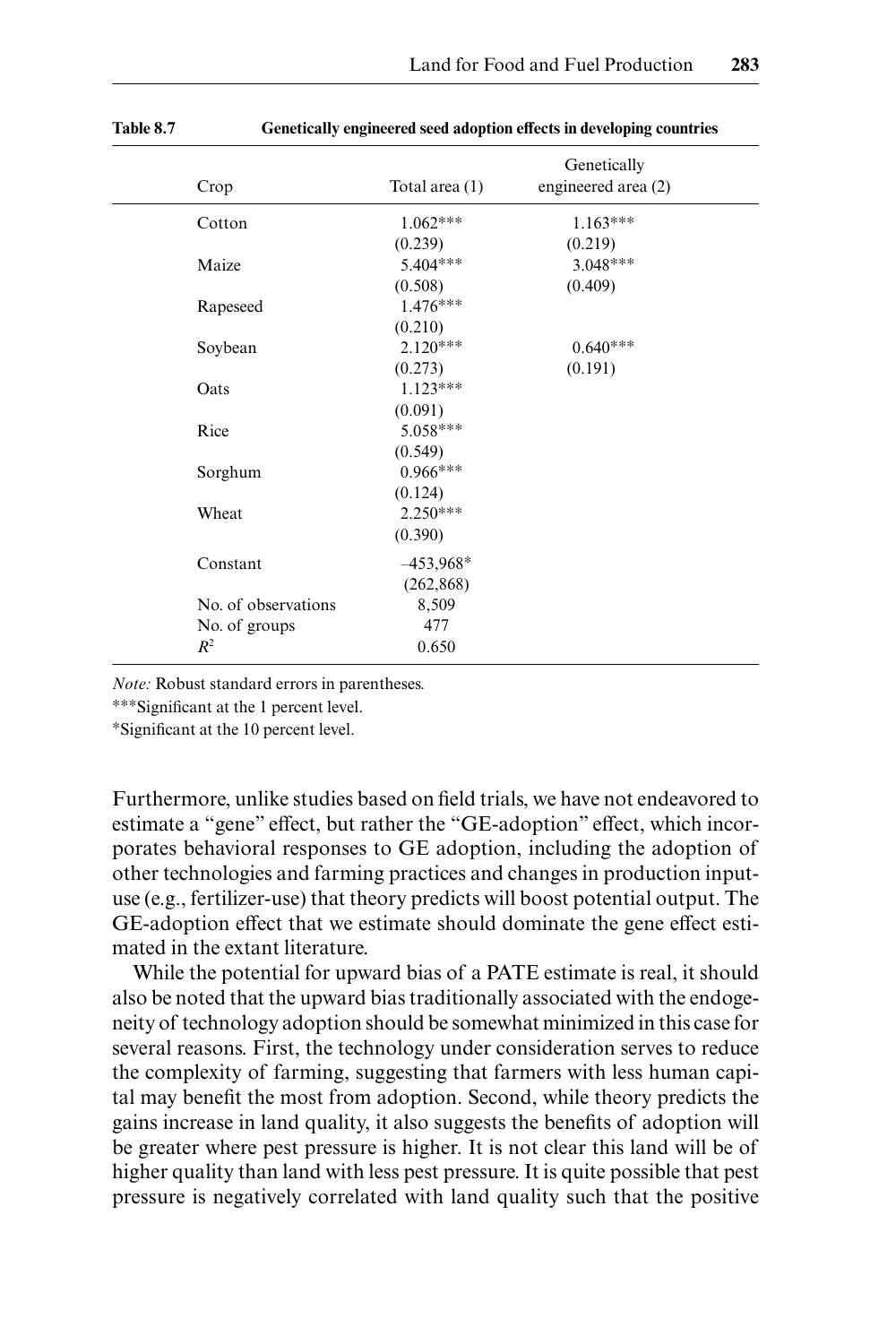| Crop                | Total area $(1)$ | Genetically<br>engineered area (2) |
|---------------------|------------------|------------------------------------|
| Cotton              | $1.062***$       | $1.163***$                         |
|                     | (0.239)          | (0.219)                            |
| Maize               | $5.404***$       | $3.048***$                         |
|                     | (0.508)          | (0.409)                            |
| Rapeseed            | $1.476***$       |                                    |
|                     | (0.210)          |                                    |
| Soybean             | $2.120***$       | $0.640***$                         |
|                     | (0.273)          | (0.191)                            |
| Oats                | $1.123***$       |                                    |
|                     | (0.091)          |                                    |
| Rice                | 5.058***         |                                    |
|                     | (0.549)          |                                    |
| Sorghum             | $0.966***$       |                                    |
|                     | (0.124)          |                                    |
| Wheat               | $2.250***$       |                                    |
|                     | (0.390)          |                                    |
| Constant            | $-453,968*$      |                                    |
|                     | (262, 868)       |                                    |
| No. of observations | 8,509            |                                    |
| No. of groups       | 477              |                                    |
| $R^2$               | 0.650            |                                    |

| <b>Table 8.7</b> | Genetically engineered seed adoption effects in developing countries |  |  |
|------------------|----------------------------------------------------------------------|--|--|
|                  |                                                                      |  |  |

*Note:* Robust standard errors in parentheses.

∗∗∗Signifi cant at the 1 percent level.

∗Signifi cant at the 10 percent level.

Furthermore, unlike studies based on field trials, we have not endeavored to estimate a "gene" effect, but rather the "GE-adoption" effect, which incorporates behavioral responses to GE adoption, including the adoption of other technologies and farming practices and changes in production input use (e.g., fertilizer-use) that theory predicts will boost potential output. The GE- adoption effect that we estimate should dominate the gene effect estimated in the extant literature.

While the potential for upward bias of a PATE estimate is real, it should also be noted that the upward bias traditionally associated with the endogeneity of technology adoption should be somewhat minimized in this case for several reasons. First, the technology under consideration serves to reduce the complexity of farming, suggesting that farmers with less human capital may benefit the most from adoption. Second, while theory predicts the gains increase in land quality, it also suggests the benefits of adoption will be greater where pest pressure is higher. It is not clear this land will be of higher quality than land with less pest pressure. It is quite possible that pest pressure is negatively correlated with land quality such that the positive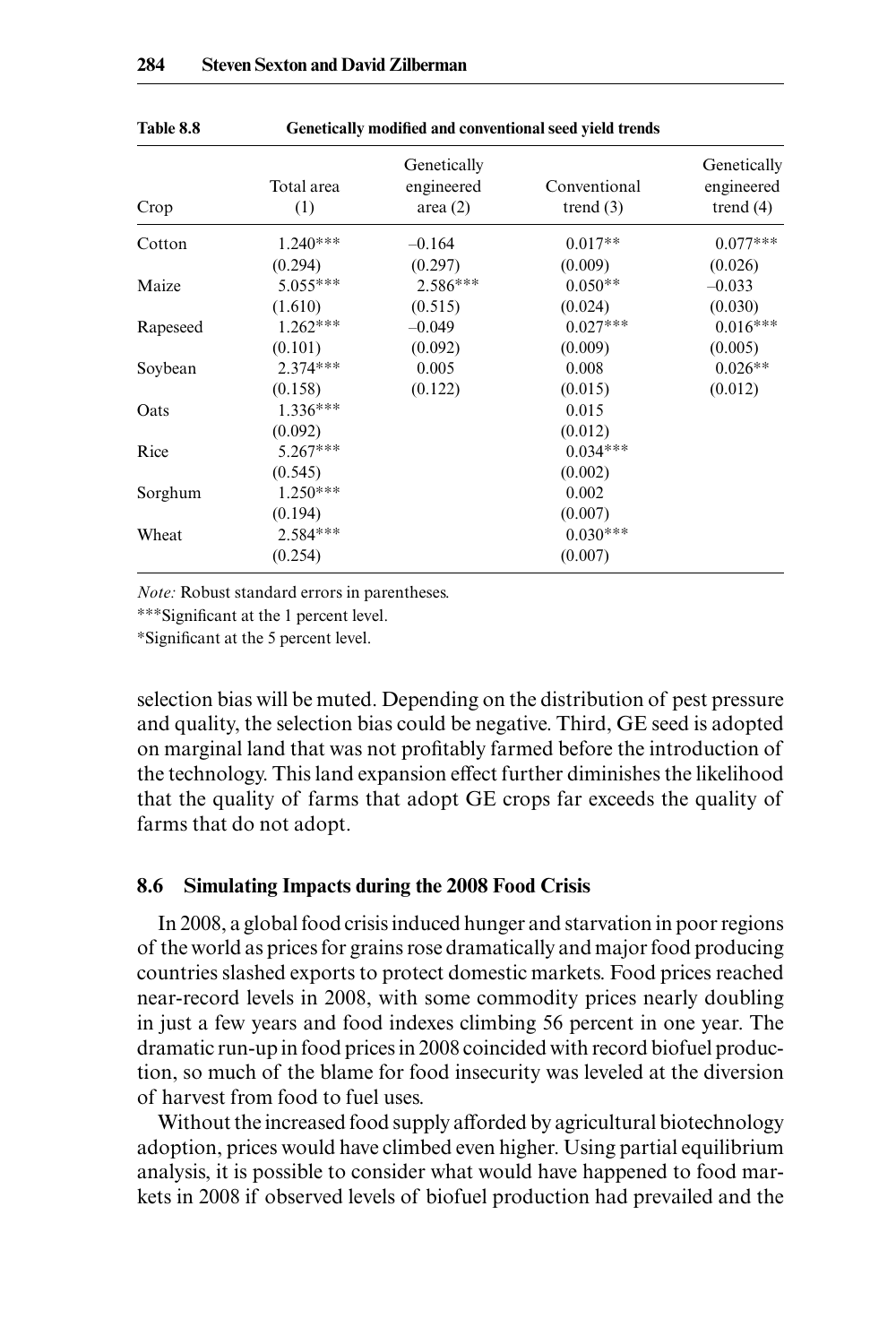| Table 8.8<br>Crop | Genetically modified and conventional seed yield trends |                                         |                             |                                          |  |  |
|-------------------|---------------------------------------------------------|-----------------------------------------|-----------------------------|------------------------------------------|--|--|
|                   | Total area<br>(1)                                       | Genetically<br>engineered<br>area $(2)$ | Conventional<br>trend $(3)$ | Genetically<br>engineered<br>trend $(4)$ |  |  |
| Cotton            | $1240***$                                               | $-0.164$                                | $0.017**$                   | $0.077***$                               |  |  |

 $(0.294)$   $(0.297)$   $(0.009)$   $(0.026)$ 

Maize 5.055∗∗∗ 2.586∗∗∗ 0.050∗∗ –0.033  $(1.610)$   $(0.515)$   $(0.024)$   $(0.030)$ Rapeseed 1.262<sup>∗∗∗</sup> –0.049 0.027<sup>∗∗∗</sup> 0.016<sup>∗∗∗</sup>  $(0.101)$   $(0.092)$   $(0.009)$   $(0.005)$ Soybean 2.374<sup>∗∗∗</sup> 0.005 0.008 0.026<sup>∗∗</sup>  $(0.158)$   $(0.122)$   $(0.015)$   $(0.012)$ Oats 1.336∗∗∗ 0.015  $(0.092)$ <br>5.267\*\*\* 0.034\* Rice 5.267<sup>∗∗∗</sup> 0.034<sup>∗∗∗</sup>  $(0.545)$   $(0.002)$ Sorghum 1.250∗∗∗ 0.002  $(0.194)$ <br>2.584\*\*\*  $0.030*$ Wheat 2.584<sup>\*\*\*</sup> 0.030<sup>\*\*\*</sup>  $(0.254)$   $(0.007)$ 

*Note:* Robust standard errors in parentheses.

∗∗∗Signifi cant at the 1 percent level.

∗Signifi cant at the 5 percent level.

selection bias will be muted. Depending on the distribution of pest pressure and quality, the selection bias could be negative. Third, GE seed is adopted on marginal land that was not profitably farmed before the introduction of the technology. This land expansion effect further diminishes the likelihood that the quality of farms that adopt GE crops far exceeds the quality of farms that do not adopt.

### **8.6 Simulating Impacts during the 2008 Food Crisis**

In 2008, a global food crisis induced hunger and starvation in poor regions of the world as prices for grains rose dramatically and major food producing countries slashed exports to protect domestic markets. Food prices reached near- record levels in 2008, with some commodity prices nearly doubling in just a few years and food indexes climbing 56 percent in one year. The dramatic run- up in food prices in 2008 coincided with record biofuel production, so much of the blame for food insecurity was leveled at the diversion of harvest from food to fuel uses.

Without the increased food supply afforded by agricultural biotechnology adoption, prices would have climbed even higher. Using partial equilibrium analysis, it is possible to consider what would have happened to food markets in 2008 if observed levels of biofuel production had prevailed and the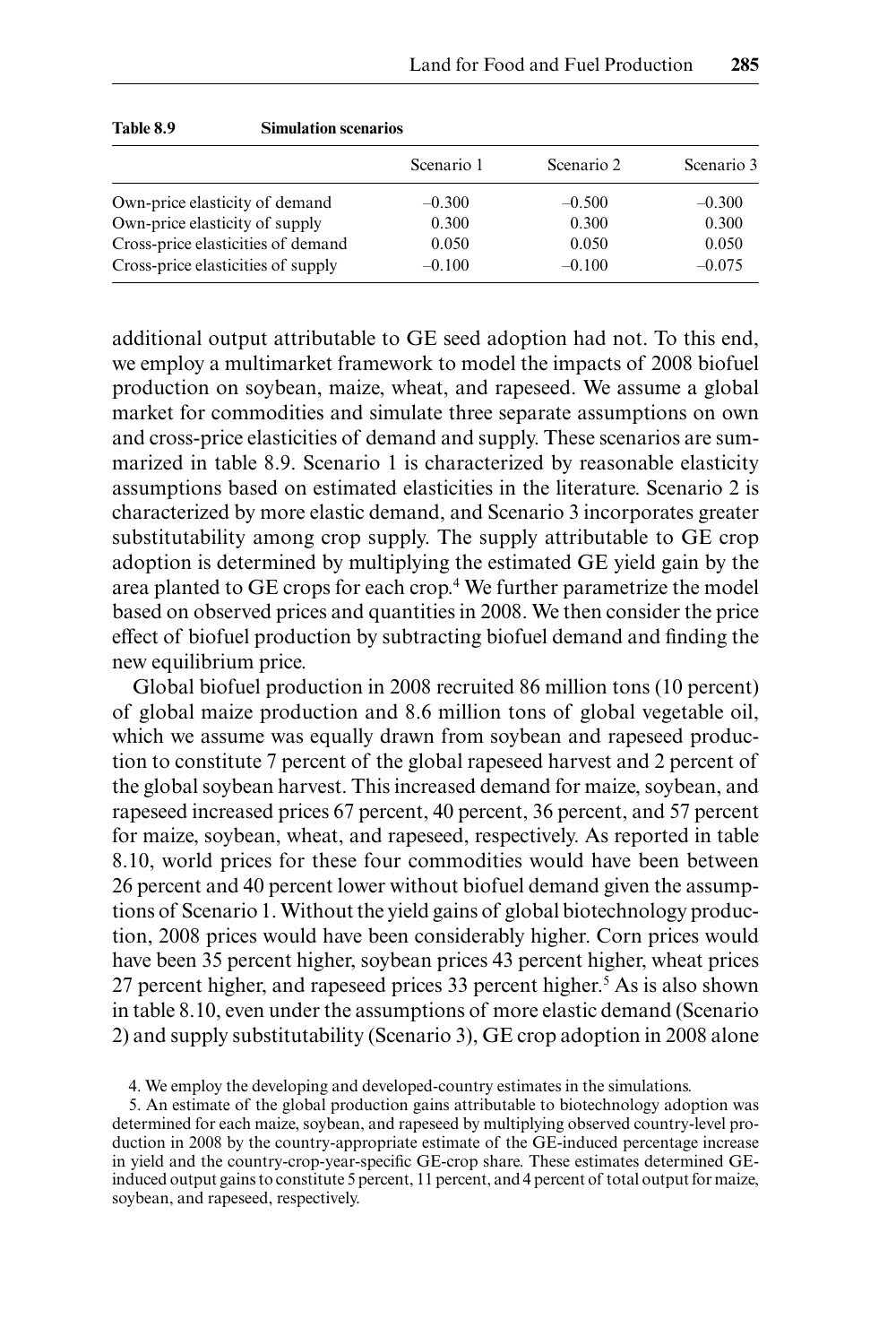| Table 8.9                      | <b>Simulation scenarios</b>        |            |            |            |  |  |
|--------------------------------|------------------------------------|------------|------------|------------|--|--|
|                                |                                    | Scenario 1 | Scenario 2 | Scenario 3 |  |  |
|                                | Own-price elasticity of demand     | $-0.300$   | $-0.500$   | $-0.300$   |  |  |
| Own-price elasticity of supply |                                    | 0.300      | 0.300      | 0.300      |  |  |
|                                | Cross-price elasticities of demand | 0.050      | 0.050      | 0.050      |  |  |
|                                | Cross-price elasticities of supply | $-0.100$   | $-0.100$   | $-0.075$   |  |  |

additional output attributable to GE seed adoption had not. To this end, we employ a multimarket framework to model the impacts of 2008 biofuel production on soybean, maize, wheat, and rapeseed. We assume a global market for commodities and simulate three separate assumptions on own and cross- price elasticities of demand and supply. These scenarios are summarized in table 8.9. Scenario 1 is characterized by reasonable elasticity assumptions based on estimated elasticities in the literature. Scenario 2 is characterized by more elastic demand, and Scenario 3 incorporates greater substitutability among crop supply. The supply attributable to GE crop adoption is determined by multiplying the estimated GE yield gain by the area planted to GE crops for each crop.<sup>4</sup> We further parametrize the model based on observed prices and quantities in 2008. We then consider the price effect of biofuel production by subtracting biofuel demand and finding the new equilibrium price.

Global biofuel production in 2008 recruited 86 million tons (10 percent) of global maize production and 8.6 million tons of global vegetable oil, which we assume was equally drawn from soybean and rapeseed production to constitute 7 percent of the global rapeseed harvest and 2 percent of the global soybean harvest. This increased demand for maize, soybean, and rapeseed increased prices 67 percent, 40 percent, 36 percent, and 57 percent for maize, soybean, wheat, and rapeseed, respectively. As reported in table 8.10, world prices for these four commodities would have been between 26 percent and 40 percent lower without biofuel demand given the assumptions of Scenario 1. Without the yield gains of global biotechnology production, 2008 prices would have been considerably higher. Corn prices would have been 35 percent higher, soybean prices 43 percent higher, wheat prices 27 percent higher, and rapeseed prices 33 percent higher.<sup>5</sup> As is also shown in table 8.10, even under the assumptions of more elastic demand (Scenario 2) and supply substitutability (Scenario 3), GE crop adoption in 2008 alone

4. We employ the developing and developed- country estimates in the simulations.

5. An estimate of the global production gains attributable to biotechnology adoption was determined for each maize, soybean, and rapeseed by multiplying observed country-level production in 2008 by the country-appropriate estimate of the GE-induced percentage increase in yield and the country-crop-year-specific GE-crop share. These estimates determined GEinduced output gains to constitute 5 percent, 11 percent, and 4 percent of total output for maize, soybean, and rapeseed, respectively.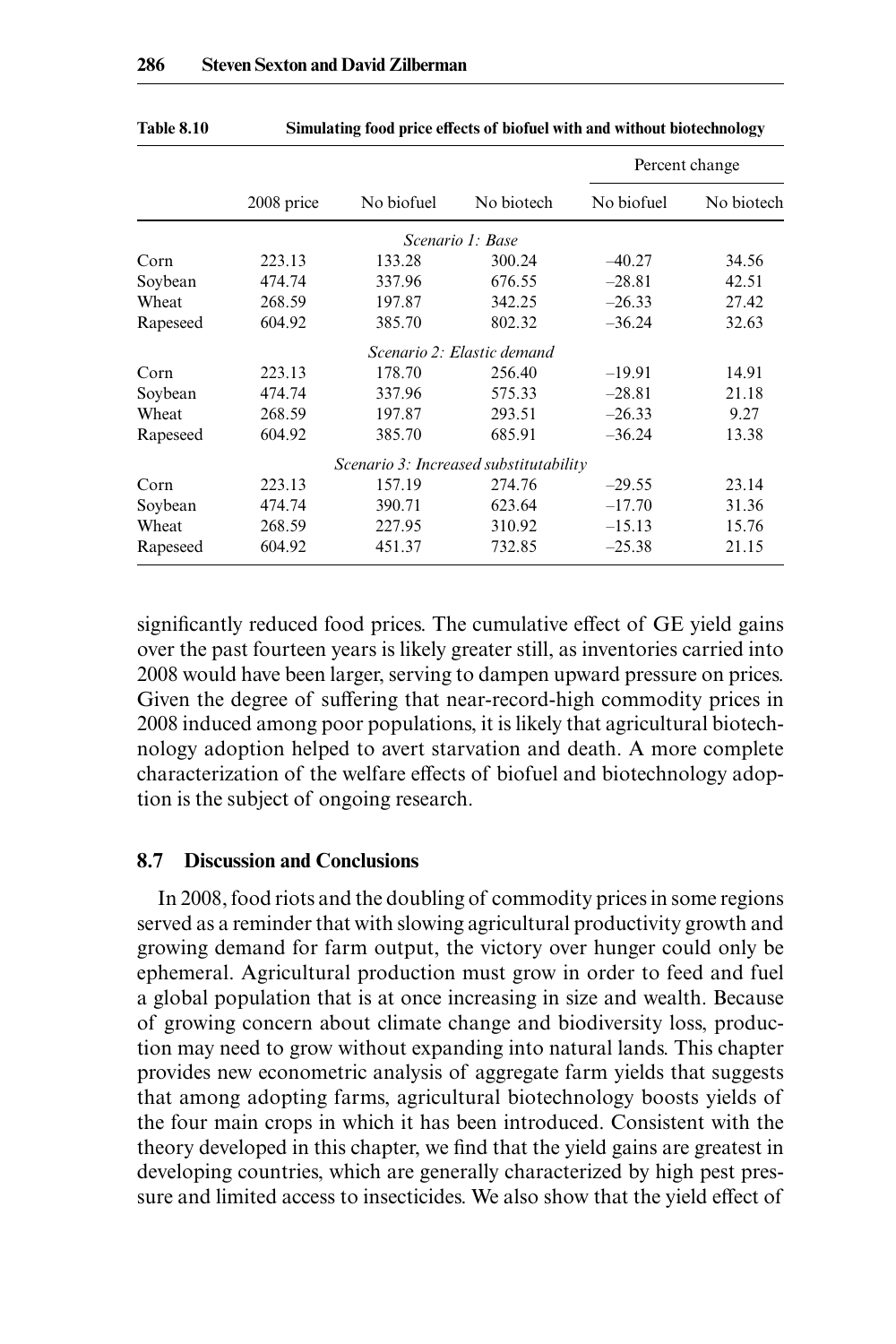|          |            |            |                                        |            | Percent change |  |
|----------|------------|------------|----------------------------------------|------------|----------------|--|
|          | 2008 price | No biofuel | No biotech                             | No biofuel | No biotech     |  |
|          |            |            | Scenario 1: Base                       |            |                |  |
| Corn     | 223.13     | 133.28     | 300.24                                 | $-40.27$   | 34.56          |  |
| Soybean  | 474.74     | 337.96     | 676.55                                 | $-28.81$   | 42.51          |  |
| Wheat    | 268.59     | 197.87     | 342.25                                 | $-26.33$   | 27.42          |  |
| Rapeseed | 604.92     | 385.70     | 802.32                                 | $-36.24$   | 32.63          |  |
|          |            |            | Scenario 2: Elastic demand             |            |                |  |
| Corn     | 223.13     | 178.70     | 256.40                                 | $-19.91$   | 14.91          |  |
| Soybean  | 474.74     | 337.96     | 575.33                                 | $-28.81$   | 21.18          |  |
| Wheat    | 268.59     | 197.87     | 293.51                                 | $-26.33$   | 9.27           |  |
| Rapeseed | 604.92     | 385.70     | 685.91                                 | $-36.24$   | 13.38          |  |
|          |            |            | Scenario 3: Increased substitutability |            |                |  |
| Corn     | 223.13     | 157.19     | 274.76                                 | $-29.55$   | 23.14          |  |
| Soybean  | 474.74     | 390.71     | 623.64                                 | $-17.70$   | 31.36          |  |
| Wheat    | 268.59     | 227.95     | 310.92                                 | $-15.13$   | 15.76          |  |
| Rapeseed | 604.92     | 451.37     | 732.85                                 | $-25.38$   | 21.15          |  |

**Table 8.10 Simulating food price effects of biofuel with and without biotechnology**

significantly reduced food prices. The cumulative effect of GE yield gains over the past fourteen years is likely greater still, as inventories carried into 2008 would have been larger, serving to dampen upward pressure on prices. Given the degree of suffering that near-record-high commodity prices in 2008 induced among poor populations, it is likely that agricultural biotechnology adoption helped to avert starvation and death. A more complete characterization of the welfare effects of biofuel and biotechnology adoption is the subject of ongoing research.

## **8.7 Discussion and Conclusions**

In 2008, food riots and the doubling of commodity prices in some regions served as a reminder that with slowing agricultural productivity growth and growing demand for farm output, the victory over hunger could only be ephemeral. Agricultural production must grow in order to feed and fuel a global population that is at once increasing in size and wealth. Because of growing concern about climate change and biodiversity loss, production may need to grow without expanding into natural lands. This chapter provides new econometric analysis of aggregate farm yields that suggests that among adopting farms, agricultural biotechnology boosts yields of the four main crops in which it has been introduced. Consistent with the theory developed in this chapter, we find that the yield gains are greatest in developing countries, which are generally characterized by high pest pressure and limited access to insecticides. We also show that the yield effect of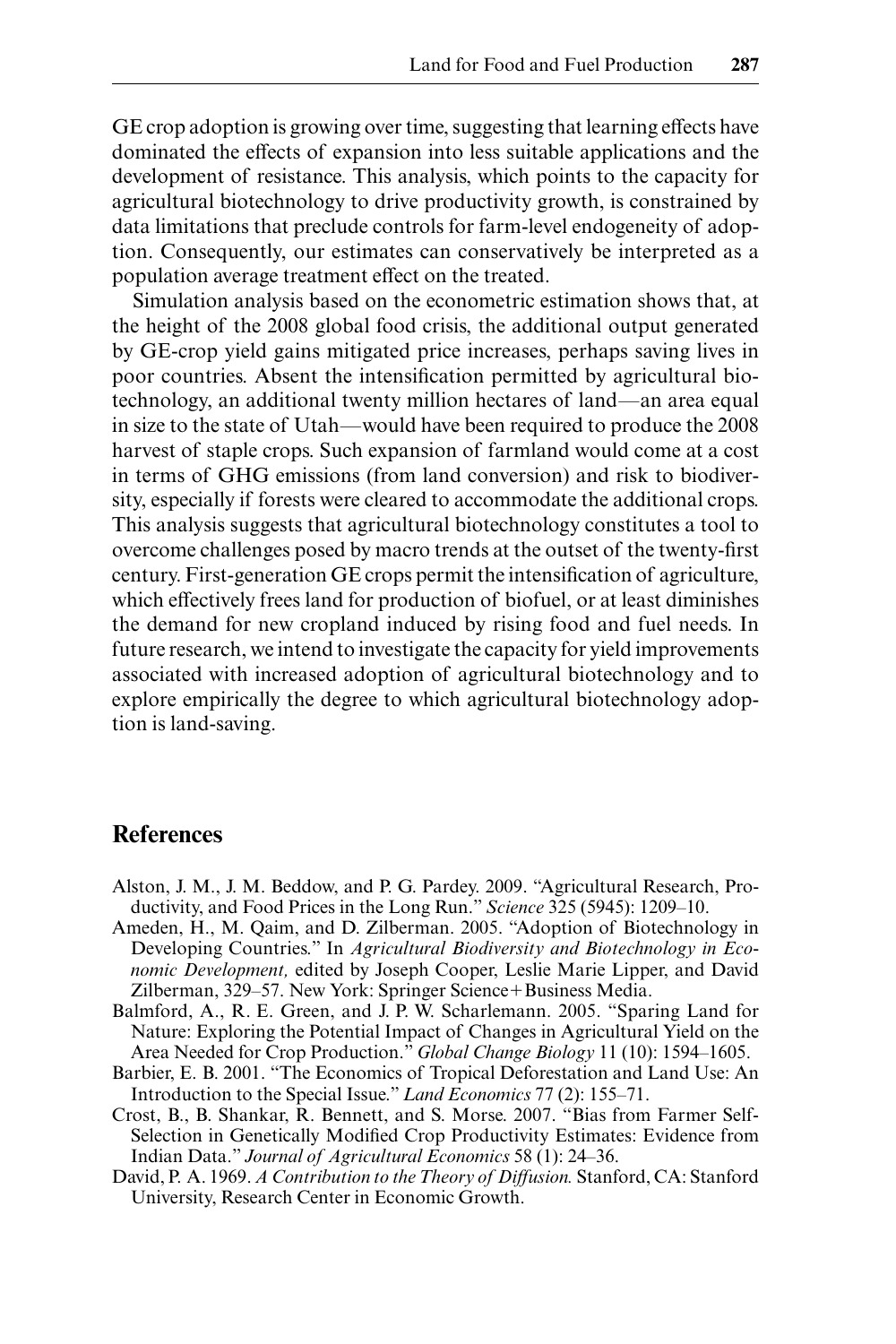GE crop adoption is growing over time, suggesting that learning effects have dominated the effects of expansion into less suitable applications and the development of resistance. This analysis, which points to the capacity for agricultural biotechnology to drive productivity growth, is constrained by data limitations that preclude controls for farm- level endogeneity of adoption. Consequently, our estimates can conservatively be interpreted as a population average treatment effect on the treated.

Simulation analysis based on the econometric estimation shows that, at the height of the 2008 global food crisis, the additional output generated by GE- crop yield gains mitigated price increases, perhaps saving lives in poor countries. Absent the intensification permitted by agricultural biotechnology, an additional twenty million hectares of land—an area equal in size to the state of Utah—would have been required to produce the 2008 harvest of staple crops. Such expansion of farmland would come at a cost in terms of GHG emissions (from land conversion) and risk to biodiversity, especially if forests were cleared to accommodate the additional crops. This analysis suggests that agricultural biotechnology constitutes a tool to overcome challenges posed by macro trends at the outset of the twenty-first century. First-generation GE crops permit the intensification of agriculture, which effectively frees land for production of biofuel, or at least diminishes the demand for new cropland induced by rising food and fuel needs. In future research, we intend to investigate the capacity for yield improvements associated with increased adoption of agricultural biotechnology and to explore empirically the degree to which agricultural biotechnology adoption is land-saving.

## **References**

- Alston, J. M., J. M. Beddow, and P. G. Pardey. 2009. "Agricultural Research, Productivity, and Food Prices in the Long Run." *Science* 325 (5945): 1209–10.
- Ameden, H., M. Qaim, and D. Zilberman. 2005. "Adoption of Biotechnology in Developing Countries." In *Agricultural Biodiversity and Biotechnology in Economic Development,* edited by Joseph Cooper, Leslie Marie Lipper, and David Zilberman, 329–57. New York: Springer Science+Business Media.
- Balmford, A., R. E. Green, and J. P. W. Scharlemann. 2005. "Sparing Land for Nature: Exploring the Potential Impact of Changes in Agricultural Yield on the Area Needed for Crop Production." *Global Change Biology* 11 (10): 1594–1605.
- Barbier, E. B. 2001. "The Economics of Tropical Deforestation and Land Use: An Introduction to the Special Issue." *Land Economics* 77 (2): 155–71.
- Crost, B., B. Shankar, R. Bennett, and S. Morse. 2007. "Bias from Farmer Self-Selection in Genetically Modified Crop Productivity Estimates: Evidence from Indian Data." *Journal of Agricultural Economics* 58 (1): 24–36.
- David, P. A. 1969. *A Contribution to the Theory of Diffusion.* Stanford, CA: Stanford University, Research Center in Economic Growth.